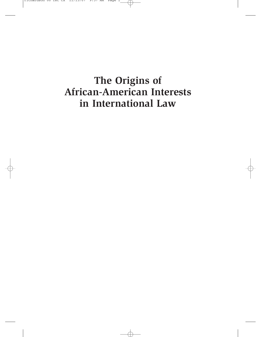# **The Origins of African-American Interests in International Law**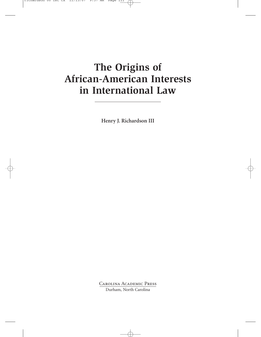# **The Origins of African-American Interests in International Law**

**Henry J. Richardson III**

Carolina Academic Press Durham, North Carolina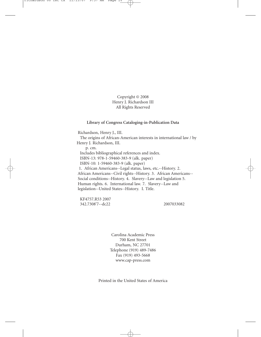Copyright © 2008 Henry J. Richardson III All Rights Reserved

## **Library of Congress Cataloging-in-Publication Data**

Richardson, Henry J., III. The origins of African-American interests in international law / by Henry J. Richardson, III. p. cm. Includes bibliographical references and index. ISBN-13: 978-1-59460-383-9 (alk. paper) ISBN-10: 1-59460-383-9 (alk. paper) 1. African Americans--Legal status, laws, etc.--History. 2. African Americans--Civil rights--History. 3. African Americans-- Social conditions--History. 4. Slavery--Law and legislation 5. Human rights. 6. International law. 7. Slavery--Law and legislation--United States--History. I. Title.

KF4757.R53 2007 342.7308'7--dc22 2007033082

Carolina Academic Press 700 Kent Street Durham, NC 27701 Telephone (919) 489-7486 Fax (919) 493-5668 www.cap-press.com

Printed in the United States of America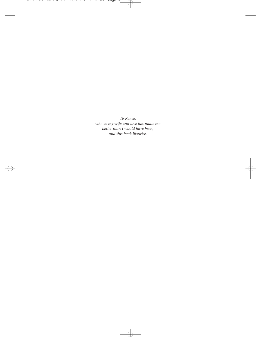*To Renee, who as my wife and love has made me better than I would have been, and this book likewise.*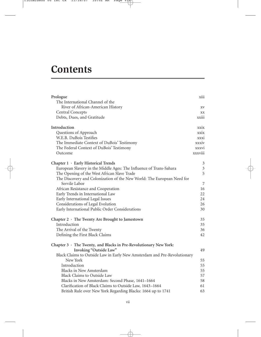# **Contents**

| Prologue                                                                 | xiii           |
|--------------------------------------------------------------------------|----------------|
| The International Channel of the                                         |                |
| River of African-American History                                        | XV             |
| <b>Central Concepts</b>                                                  | XX             |
| Debts, Dues, and Gratitude                                               | xxiii          |
| Introduction                                                             | <b>XXIX</b>    |
| Questions of Approach                                                    | xxix           |
| W.E.B. DuBois Testifies                                                  | xxxi           |
| The Immediate Context of DuBois' Testimony                               | xxxiv          |
| The Federal Context of DuBois' Testimony                                 | xxxvi          |
| Outcome                                                                  | xxxviii        |
| Chapter 1 · Early Historical Trends                                      | 3              |
| European Slavery in the Middle Ages: The Influence of Trans-Sahara       | $\mathfrak{Z}$ |
| The Opening of the West African Slave Trade                              | 5              |
| The Discovery and Colonization of the New World: The European Need for   |                |
| Servile Labor                                                            | 7              |
| African Resistance and Cooperation                                       | 16             |
| Early Trends in International Law                                        | 22             |
| Early International Legal Issues                                         | 24             |
| Considerations of Legal Evolution                                        | 26             |
| Early International Public Order Considerations                          | 30             |
| Chapter $2 \cdot$ The Twenty Are Brought to Jamestown                    | 35             |
| Introduction                                                             | 35             |
| The Arrival of the Twenty                                                | 36             |
| Defining the First Black Claims                                          | 42             |
| Chapter $3 \cdot$ The Twenty, and Blacks in Pre-Revolutionary New York:  |                |
| Invoking "Outside Law"                                                   | 49             |
| Black Claims to Outside Law in Early New Amsterdam and Pre-Revolutionary |                |
| New York                                                                 | 55             |
| Introduction                                                             | 55             |
| <b>Blacks in New Amsterdam</b>                                           | 55             |
| <b>Black Claims to Outside Law</b>                                       | 57             |
| Blacks in New Amsterdam: Second Phase, 1641-1664                         | 58             |
| Clarification of Black Claims to Outside Law, 1643-1664                  | 61             |
| British Rule over New York Regarding Blacks: 1664 up to 1741             | 63             |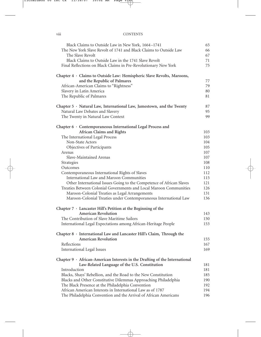## viii CONTENTS

| Black Claims to Outside Law in New York, 1664-1741                                | 65         |
|-----------------------------------------------------------------------------------|------------|
| The New York Slave Revolt of 1741 and Black Claims to Outside Law                 | 66         |
| The Slave Revolt                                                                  | 67         |
| Black Claims to Outside Law in the 1741 Slave Revolt                              | 71         |
| Final Reflections on Black Claims in Pre-Revolutionary New York                   | 75         |
|                                                                                   |            |
| Chapter 4 · Claims to Outside Law: Hemispheric Slave Revolts, Maroons,            |            |
| and the Republic of Palmares                                                      | 77         |
| African-American Claims to "Rightness"                                            | 79         |
| Slavery in Latin America                                                          | 80         |
| The Republic of Palmares                                                          | 81         |
| Chapter $5 \cdot$ Natural Law, International Law, Jamestown, and the Twenty       | 87         |
| Natural Law Debates and Slavery                                                   | 95         |
| The Twenty in Natural Law Context                                                 | 99         |
| Chapter 6 · Contemporaneous International Legal Process and                       |            |
| African Claims and Rights                                                         | 103        |
| The International Legal Process                                                   | 103        |
| Non-State Actors                                                                  | 104        |
| Objectives of Participants                                                        | 105        |
|                                                                                   |            |
| Arenas                                                                            | 107        |
| Slave-Maintained Arenas                                                           | 107        |
| Strategies                                                                        | 108        |
| Outcomes                                                                          | 110        |
| Contemporaneous International Rights of Slaves                                    | 112        |
| International Law and Maroon Communities                                          | 115        |
| Other International Issues Going to the Competence of African Slaves              | 121        |
| Treaties Between Colonial Governments and Local Maroon Communities                | 126        |
| Maroon-Colonial Treaties as Legal Arrangements                                    | 131        |
| Maroon-Colonial Treaties under Contemporaneous International Law                  | 136        |
| Chapter $7 \cdot$ Lancaster Hill's Petition at the Beginning of the               |            |
| <b>American Revolution</b>                                                        | 143        |
| The Contribution of Slave Maritime Sailors                                        | 150        |
| International Legal Expectations among African-Heritage People                    | 153        |
| Chapter 8 · International Law and Lancaster Hill's Claim, Through the             |            |
| <b>American Revolution</b>                                                        | 155        |
| Reflections                                                                       | 167        |
| <b>International Legal Issues</b>                                                 | 169        |
| Chapter $9 \cdot$ African-American Interests in the Drafting of the International |            |
| Law-Related Language of the U.S. Constitution                                     |            |
| Introduction                                                                      | 181<br>181 |
|                                                                                   |            |
| Blacks, Shays' Rebellion, and the Road to the New Constitution                    | 185        |
| Blacks and Other Constitutive Dilemmas Approaching Philadelphia                   | 190        |
| The Black Presence at the Philadelphia Convention                                 | 192        |
| African American Interests in International Law as of 1787                        | 194        |
| The Philadelphia Convention and the Arrival of African Americans                  | 196        |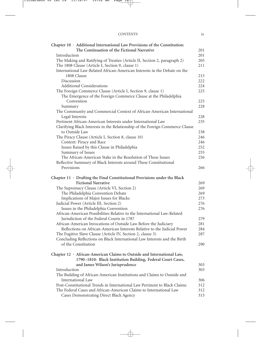| <b>CONTENTS</b> |  |
|-----------------|--|
|                 |  |

| Chapter $10 \cdot$ Additional International Law Provisions of the Constitution:                               |            |
|---------------------------------------------------------------------------------------------------------------|------------|
| The Continuation of the Fictional Narrative                                                                   | 201        |
| Introduction                                                                                                  | 201        |
| The Making and Ratifying of Treaties (Article II, Section 2, paragraph 2)                                     | 205        |
| The 1808 Clause (Article I, Section 9, clause 1)                                                              | 211        |
| International Law-Related African-American Interests in the Debate on the                                     |            |
| 1808 Clause                                                                                                   | 215        |
| Discussion                                                                                                    | 222        |
| <b>Additional Considerations</b>                                                                              | 224        |
| The Foreign Commerce Clause (Article I, Section 9, clause 1)                                                  | 225        |
| The Emergence of the Foreign Commerce Clause at the Philadelphia                                              |            |
| Convention                                                                                                    | 225        |
| Summary                                                                                                       | 228        |
| The Community and Commercial Context of African-American International                                        |            |
| Legal Interests                                                                                               | 228        |
| Pertinent African-American Interests under International Law                                                  | 235        |
| Clarifying Black Interests in the Relationship of the Foreign Commerce Clause                                 |            |
| to Outside Law                                                                                                | 238        |
| The Piracy Clause (Article I, Section 8, clause 10)                                                           | 246        |
| Context: Piracy and Race                                                                                      | 246        |
| Issues Raised by this Clause in Philadelphia                                                                  | 252        |
| Summary of Issues                                                                                             | 255        |
| The African-American Stake in the Resolution of These Issues                                                  | 256        |
| Reflective Summary of Black Interests around These Constitutional                                             |            |
| Provisions                                                                                                    | 266        |
|                                                                                                               |            |
|                                                                                                               |            |
| Chapter $11 \cdot$ Drafting the Final Constitutional Provisions under the Black                               |            |
| <b>Fictional Narrative</b>                                                                                    | 269        |
| The Supremacy Clause (Article VI, Section 2)                                                                  | 269        |
| The Philadelphia Convention Debate                                                                            | 269        |
| Implications of Major Issues for Blacks                                                                       | 273        |
| Judicial Power (Article III, Section 2)                                                                       | 276        |
| Issues in the Philadelphia Convention                                                                         | 276        |
| African-American Possibilities Relative to the International Law-Related                                      |            |
| Jurisdiction of the Federal Courts in 1787                                                                    | 279        |
| African-American Invocations of Outside Law Before the Judiciary                                              | 281        |
| Reflections on African-American Interests Relative to the Judicial Power                                      | 284        |
| The Fugitive Slave Clause (Article IV, Section 2, clause 3)                                                   | 287        |
| Concluding Reflections on Black International Law Interests and the Birth                                     |            |
| of the Constitution                                                                                           | 290        |
|                                                                                                               |            |
| Chapter $12 \cdot$ African-American Claims to Outside and International Law,                                  |            |
| 1790-1810: Black Institution Building, Federal Court Cases,                                                   |            |
| and James Wilson's Jurisprudence                                                                              | 303        |
| Introduction                                                                                                  | 303        |
| The Building of African-American Institutions and Claims to Outside and                                       |            |
| International Law                                                                                             | 306        |
| Post-Constitutional Trends in International Law Pertinent to Black Claims                                     | 312        |
| The Federal Cases and African-American Claims to International Law<br>Cases Demonstrating Direct Black Agency | 312<br>315 |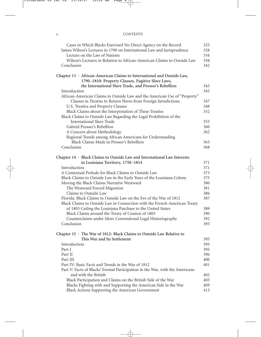## x CONTENTS

| Cases in Which Blacks Exercised No Direct Agency on the Record                 | 325 |
|--------------------------------------------------------------------------------|-----|
| James Wilson's Lectures in 1790 on International Law and Jurisprudence         | 328 |
| Lecture on the Law of Nations                                                  | 334 |
| Wilson's Lectures in Relation to African-American Claims to Outside Law        | 338 |
| Conclusion                                                                     | 342 |
| Chapter $13 \cdot$ African-American Claims to International and Outside Law,   |     |
| 1790-1810: Property Clauses, Fugitive Slave Laws,                              |     |
| the International Slave Trade, and Prosser's Rebellion                         | 345 |
| Introduction                                                                   | 345 |
| African-American Claims to Outside Law and the American Use of "Property"      |     |
| Clauses in Treaties to Return Slaves from Foreign Jurisdictions                | 347 |
| U.S. Treaties and Property Clauses                                             | 348 |
| Black Claims about the Interpretation of These Treaties                        | 352 |
| Black Claims to Outside Law Regarding the Legal Prohibition of the             |     |
| International Slave Trade                                                      | 353 |
| Gabriel Prosser's Rebellion                                                    | 360 |
| A Concern about Methodology                                                    | 362 |
| Regional Trends among African Americans for Understanding                      |     |
| Black Claims Made in Prosser's Rebellion                                       | 365 |
| Conclusion                                                                     | 368 |
| Chapter $14 \cdot$ Black Claims to Outside Law and International Law Interests |     |
| in Louisiana Territory, 1750-1814                                              | 371 |
| Introduction                                                                   | 371 |
| A Contextual Prelude for Black Claims to Outside Law                           | 373 |
| Black Claims to Outside Law in the Early Years of the Louisiana Colony         | 375 |
| Moving the Black Claims Narrative Westward                                     | 380 |
| The Westward Forced Migration                                                  | 381 |
| Claims to Outside Law                                                          | 386 |
| Florida: Black Claims to Outside Law on the Eve of the War of 1812             | 387 |
| Black Claims to Outside Law in Connection with the French-American Treaty      |     |
| of 1803 Ceding the Louisiana Purchase to the United States                     | 389 |
| Black Claims around the Treaty of Cession of 1803                              | 390 |
| Counterclaims under More Conventional Legal Historiography                     | 392 |
| Conclusion                                                                     | 393 |
| Chapter 15 · The War of 1812: Black Claims to Outside Law Relative to          |     |
| This War and Its Settlement                                                    | 395 |
| Introduction                                                                   | 395 |
| Part I                                                                         | 395 |
| Part II                                                                        | 396 |
| Part III                                                                       | 400 |
| Part IV: Basic Facts and Trends in the War of 1812                             | 401 |
| Part V: Facts of Blacks' Formal Participation in the War, with the Americans   |     |
| and with the British                                                           | 402 |
| Black Participation and Claims on the British Side of the War                  | 403 |
| Blacks Fighting with and Supporting the American Side in the War               | 409 |
| Black Actions Supporting the American Government                               | 413 |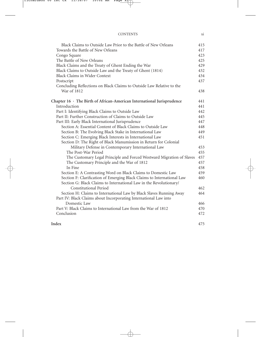| <b>CONTENTS</b> |  |
|-----------------|--|
|                 |  |

| Black Claims to Outside Law Prior to the Battle of New Orleans               | 415 |
|------------------------------------------------------------------------------|-----|
| Towards the Battle of New Orleans                                            | 417 |
| Congo Square                                                                 | 423 |
| The Battle of New Orleans                                                    | 425 |
| Black Claims and the Treaty of Ghent Ending the War                          | 429 |
| Black Claims to Outside Law and the Treaty of Ghent (1814)                   | 432 |
| <b>Black Claims in Wider Context</b>                                         | 434 |
| Postscript                                                                   | 437 |
| Concluding Reflections on Black Claims to Outside Law Relative to the        |     |
| War of 1812                                                                  | 438 |
| Chapter $16 \cdot$ The Birth of African-American International Jurisprudence | 441 |
| Introduction                                                                 | 441 |
| Part I: Identifying Black Claims to Outside Law                              | 442 |
| Part II: Further Construction of Claims to Outside Law                       | 445 |
| Part III: Early Black International Jurisprudence                            | 447 |
| Section A: Essential Content of Black Claims to Outside Law                  | 448 |
| Section B: The Evolving Black Stake in International Law                     | 449 |
| Section C: Emerging Black Interests in International Law                     | 451 |
| Section D: The Right of Black Manumission in Return for Colonial             |     |
| Military Defense in Contemporary International Law                           | 453 |
| The Post-War Period                                                          | 455 |
| The Customary Legal Principle and Forced Westward Migration of Slaves        | 457 |
| The Customary Principle and the War of 1812                                  | 457 |
| In Fine                                                                      | 458 |
| Section E: A Contrasting Word on Black Claims to Domestic Law                | 459 |
| Section F: Clarification of Emerging Black Claims to International Law       | 460 |
| Section G: Black Claims to International Law in the Revolutionary/           |     |
| <b>Constitutional Period</b>                                                 | 462 |
| Section H: Claims to International Law by Black Slaves Running Away          | 464 |
| Part IV: Black Claims about Incorporating International Law into             |     |
| Domestic Law                                                                 | 466 |
| Part V: Black Claims to International Law from the War of 1812               | 470 |
| Conclusion                                                                   | 472 |
| Index                                                                        | 475 |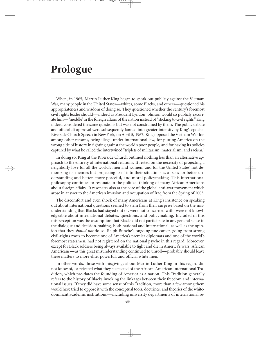# **Prologue**

When, in 1965, Martin Luther King began to speak out publicly against the Vietnam War, many people in the United States—whites, some Blacks, and others—questioned his appropriateness and wisdom of doing so. They questioned whether the century's foremost civil rights leader should—indeed as President Lyndon Johnson would so publicly excoriate him—'meddle' in the foreign affairs of the nation instead of "sticking to civil rights." King indeed considered the same questions but was not constrained by them. The public debate and official disapproval were subsequently fanned into greater intensity by King's epochal Riverside Church Speech in New York, on April 5, 1967. King opposed the Vietnam War for, among other reasons, being illegal under international law, for putting America on the wrong side of history in fighting against the world's poor people, and for having its policies captured by what he called the intertwined "triplets of militarism, materialism, and racism."

In doing so, King at the Riverside Church outlined nothing less than an alternative approach to the entirety of international relations. It rested on the necessity of projecting a neighborly love for all the world's men and women, and for the United States' not demonizing its enemies but projecting itself into their situations as a basis for better understanding and better, more peaceful, and moral policymaking. This international philosophy continues to resonate in the political thinking of many African Americans about foreign affairs. It resonates also at the core of the global anti-war movement which arose in answer to the American invasion and occupation of Iraq from the Spring of 2003.

The discomfort and even shock of many Americans at King's insistence on speaking out about international questions seemed to stem from their surprise based on the misunderstanding that Blacks had stayed out of, were not concerned with, were not knowledgeable about international debates, questions, and policymaking. Included in this misperception was the assumption that Blacks did not participate in any general sense in the dialogue and decision-making, both national and international, as well as the opinion that they *should not* do so. Ralph Bunche's ongoing fine career, going from strong civil-rights roots to become one of America's premier diplomats and one of the world's foremost statesmen, had not registered on the national psyche in this regard. Moreover, except for Black soldiers being always available to fight and die in America's wars, African Americans—as this great misunderstanding continued to unroll—probably should leave these matters to more elite, powerful, and official white men.

In other words, those with misgivings about Martin Luther King in this regard did not know of, or rejected what they suspected of the African-American International Tradition, which pre-dates the founding of America as a nation. This Tradition generally refers to the history of Blacks invoking the linkages between their freedom and international issues. If they did have some sense of this Tradition, more than a few among them would have tried to oppose it with the conceptual tools, doctrines, and theories of the whitedominant academic institutions —including university departments of international re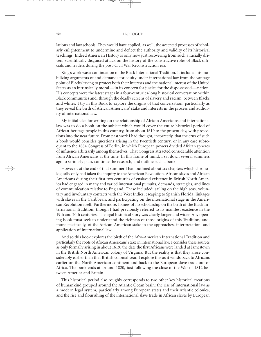lations and law schools. They would have applied, as well, the accepted processes of scholarly enlightenment to undermine and deflect the authority and validity of its historical teachings. Indeed American History is only now just recovering from such a racially driven, scientifically disguised attack on the history of the constructive roles of Black officials and leaders during the post-Civil War Reconstruction era.

King's work was a continuation of the Black International Tradition. It included his mobilizing arguments of and demands for equity under international law from the vantage point of Blacks' trying to protect both their interests and the national interest of the United States as an intrinsically moral — in its concern for justice for the dispossessed — nation. His concepts were the latest stages in a four-centuries-long historical conversation within Black communities and, through the deadly screens of slavery and racism, between Blacks and whites. I try in this Book to explore the origins of that conversation, particularly as they reveal the birth of African Americans' stake and interests in the process and authority of international law.

My initial idea for writing on the relationship of African Americans and international law was to do a book on the subject which would cover the entire historical period of African-heritage people in this country, from about 1619 to the present day, with projections into the near future. From past work I had thought, incorrectly, that the crux of such a book would consider questions arising in the twentieth century, or in any case subsequent to the 1884 Congress of Berlin, in which European powers divided African spheres of influence arbitrarily among themselves. That Congress attracted considerable attention from African Americans at the time. In this frame of mind, I sat down several summers ago to seriously plan, continue the research, and outline such a book.

However, at the end of that summer I had outlined about six chapters which chronologically only had taken the inquiry to the American Revolution. African slaves and African Americans during their first two centuries of enslaved existence in British North America had engaged in many and varied international pursuits, demands, strategies, and lines of communication relative to England. These included: sailing on the high seas, voluntary and involuntary contacts with the West Indies, escaping to Spanish Florida, linkages with slaves in the Caribbean, and participating on the international stage in the American Revolution itself. Furthermore, I knew of no scholarship on the birth of the Black International Tradition, though I had previously referred to its manifest existence in the 19th and 20th centuries. The legal historical story was clearly longer and wider. Any opening book must seek to understand the richness of those origins of this Tradition, and, more specifically, of the African-American stake in the approaches, interpretation, and application of international law.

And so this book explores the birth of the Afro-American International Tradition and particularly the roots of African Americans' stake in international law. I consider these sources as only formally arising in about 1619, the date the first Africans were landed at Jamestown in the British North American colony of Virginia. But the reality is that they arose considerably earlier than that British colonial year. I explore this as it winds back to Africans earlier on the North American continent and back to the European slave trade out of Africa. The book ends at around 1820, just following the close of the War of 1812 between America and Britain.

This historical period also roughly corresponds to two other key historical creations of humankind grouped around the Atlantic Ocean basin: the rise of international law as a modern legal system, particularly among European states and their Atlantic colonies, and the rise and flourishing of the international slave trade in African slaves by European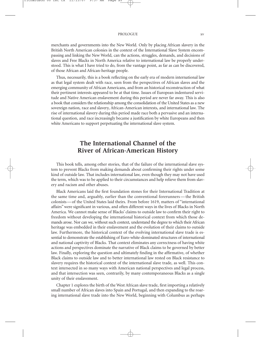merchants and governments into the New World. Only by placing African slavery in the British North American colonies in the context of the International Slave System encompassing and linking the New World, can the actions, struggles, demands, and decisions of slaves and Free Blacks in North America relative to international law be properly understood. This is what I have tried to do, from the vantage point, as far as can be discovered, of those African and African-heritage people.

Thus, necessarily, this is a book reflecting on the early era of modern international law as that legal system dealt with race, seen from the perspectives of African slaves and the emerging community of African Americans, and from an historical reconstruction of what their pertinent interests appeared to be at that time. Issues of European indentured servitude and Native American enslavement during this period are never far away. This is also a book that considers the relationship among the consolidation of the United States as a new sovereign nation, race and slavery, African-American interests, and international law. The rise of international slavery during this period made race both a pervasive and an international question, and race increasingly became a justification by white Europeans and then white Americans to support perpetuating the international slave system.

# **The International Channel of the River of African-American History**

This book tells, among other stories, that of the failure of the international slave system to prevent Blacks from making demands about confirming their rights under some kind of outside law. That includes international law, even though they may not have used the term, which was to be applied to their circumstances and help relieve them from slavery and racism and other abuses.

Black Americans laid the first foundation stones for their International Tradition at the same time and, arguably, earlier than the conventional forerunners — the British colonists — of the United States laid theirs. From before 1619, matters of "international affairs" were significant in various, and often different ways in the lives of Blacks in North America. We cannot make sense of Blacks' claims to outside law to confirm their right to freedom without developing the international historical context from which those demands arose. Nor can we, without such context, understand the degree to which their African heritage was embedded in their enslavement and the evolution of their claims to outside law. Furthermore, the historical context of the evolving international slave trade is essential to demonstrate the establishing of Euro-white-dominated structures of international and national captivity of Blacks. That context eliminates any correctness of having white actions and perspectives dominate the narrative of Black claims to be governed by better law. Finally, exploring the question and ultimately finding in the affirmative, of whether Black claims to outside law and to better international law rested on Black resistance to slavery requires the historical context of the international slave trade, as well. This context intersected in so many ways with American national perspectives and legal process, and that intersection was seen, contrarily, by many contemporaneous Blacks as a single unity of their enslavement.

Chapter 1 explores the birth of the West African slave trade, first importing a relatively small number of African slaves into Spain and Portugal, and then expanding to the roaring international slave trade into the New World, beginning with Columbus as perhaps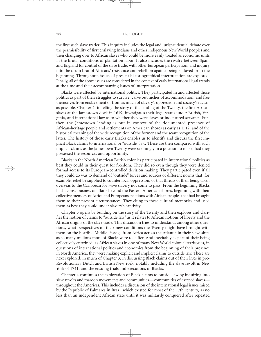#### xvi PROLOGUE

the first such slave trader. This inquiry includes the legal and jurisprudential debate over the permissibility of first enslaving Indians and other indigenous New World peoples and then changing over to African slaves who could be more easily treated as economic units in the brutal conditions of plantation labor. It also includes the rivalry between Spain and England for control of the slave trade, with other European participation, and inquiry into the drum beat of Africans' resistance and rebellion against being enslaved from the beginning. Throughout, issues of present historiographical interpretation are explored. Finally, all of the above issues are considered in the context of early international legal trends at the time and their accompanying issues of interpretation.

Blacks were affected by international politics. They participated in and affected those politics as part of their struggles to survive, carve out niches of accommodation, and free themselves from enslavement or from as much of slavery's oppression and society's racism as possible. Chapter 2, in telling the story of the landing of the Twenty, the first African slaves at the Jamestown dock in 1619, investigates their legal status under British, Virginia, and international law as to whether they were slaves or indentured servants. Further, the Jamestown landing is put in context of the documented presence of African-heritage people and settlements on American shores as early as 1512, and of the historical meaning of the wide recognition of the former and the scant recognition of the latter. The history of those early Blacks enables us to identify and discuss the first implicit Black claims to international or "outside" law. These are then compared with such implicit claims as the Jamestown Twenty were seemingly in a position to make, had they possessed the resources and opportunity.

Blacks in the North American British colonies participated in international politics as best they could in their quest for freedom. They did so even though they were denied formal access to its European-controlled decision making. They participated even if all they could do was to demand of "outside" forces and sources of different norms that, for example, relief be supplied to counter local oppression, or that threats of their being taken overseas to the Caribbean for *more* slavery not come to pass. From the beginning Blacks had a consciousness of affairs beyond the Eastern American shores, beginning with their collective memory of Africa and Europeans' relations with African peoples that had brought them to their present circumstances. They clung to these cultural memories and used them as best they could under slavery's captivity.

Chapter 3 opens by building on the story of the Twenty and then explores and clarifies the notion of claims to "outside law" as it relates to African notions of liberty and the African origins of the slave trade. This discussion tries to understand, among other questions, what perspectives on their new conditions the Twenty might have brought with them on the horrible Middle Passage from Africa across the Atlantic in their slave ship, as so many millions more of Blacks were to suffer. And inevitably as part of their being collectively entwined, as African slaves in one of many New World colonial territories, in questions of international politics and economics from the beginning of their presence in North America, they were making explicit and implicit claims to outside law. These are next explored, in much of Chapter 3, in discussing Black claims out of their lives in pre-Revolutionary Dutch and British New York, notably including the slave revolt in New York of 1741, and the ensuing trials and executions of Blacks.

Chapter 4 continues the exploration of Black claims to outside law by inquiring into slave revolts and maroon movements and communities—communities of escaped slaves throughout the Americas. This includes a discussion of the international legal issues raised by the Republic of Palmares in Brazil which existed for most of the 17th century, as no less than an independent African state until it was militarily conquered after repeated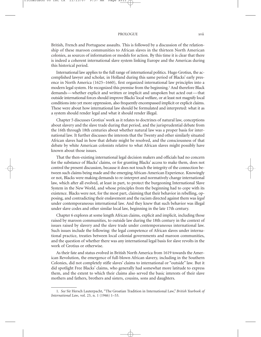British, French and Portuguese assaults. This is followed by a discussion of the relationship of these maroon communities to African slaves in the thirteen North American colonies, as sources of information or models for action. By this time it is clear that there is indeed a coherent international slave system linking Europe and the Americas during this historical period.

International law applies to the full range of international politics. Hugo Grotius, the accomplished lawyer and scholar, in Holland during this same period of Blacks' early presence in North America (1625–1660), first organized international law principles into a modern legal system. He recognized this premise from the beginning.<sup>1</sup> And therefore Black demands—whether explicit and written or implicit and unspoken but acted out—that outside international forces should improve Blacks' local welfare, or at least not magnify local conditions into yet more oppression, also frequently encompassed implicit or explicit claims. These were about how international law should be formulated and interpreted: what it as a system should render legal and what it should render illegal.

Chapter 5 discusses Grotius' work as it relates to doctrines of natural law, conceptions about slavery and the slave trade during that period, and the jurisprudential debate from the 16th through 18th centuries about whether natural law was a proper basis for international law. It further discusses the interests that the Twenty and other similarly situated African slaves had in how that debate might be resolved, and the consciousness of that debate by white American colonists relative to what African slaves might possibly have known about those issues.

That the then-existing international legal decision makers and officials had no concern for the substance of Blacks' claims, or for granting Blacks' access to make them, does not control the present discussion, because it does not touch the integrity of the connection between such claims being made and the emerging African-American Experience. Knowingly or not, Blacks were making demands to re-interpret and normatively change international law, which after all evolved, at least in part, to protect the burgeoning International Slave System in the New World, and whose principles from the beginning had to cope with its existence. Blacks were not, for the most part, claiming that their behavior in rebelling, opposing, and contradicting their enslavement and the racism directed against them was *legal* under contemporaneous international law. And they knew that such behavior was illegal under slave codes and other similar local law, beginning in the late 17th century.

Chapter 6 explores at some length African claims, explicit and implicit, including those raised by maroon communities, to outside law during the 18th century in the context of issues raised by slavery and the slave trade under contemporaneous international law. Such issues include the following: the legal competence of African slaves under international practice, treaties between local colonial governments and maroon communities, and the question of whether there was any international legal basis for slave revolts in the work of Grotius or otherwise.

As their fate and status evolved in British North America from 1619 towards the American Revolution, the emergence of full-blown African slavery, including in the Southern Colonies, did not completely stifle slaves' claims to international or "outside" law. But it did spotlight Free Blacks' claims, who generally had somewhat more latitude to express them, and the extent to which their claims also served the basic interests of their slave mothers and fathers, brothers and sisters, cousins, sons and daughters.

<sup>1.</sup> *See* Sir Hersch Lauterpacht, "The Groatian Tradition in International Law," *British Yearbook of International Law*, vol. 23, n. 1 (1946) 1–53.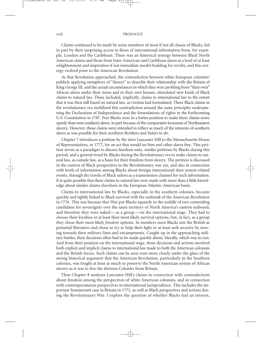#### xviii PROLOGUE

Claims continued to be made by some members of most if not all classes of Blacks, fed in part by their surprising access to flows of international information from, for example, London and the Caribbean. There was an historical synergy between Black North American claims and those from Inter-American and Caribbean slaves at a level of at least enlightenment and inspiration if not immediate model-building for revolts, and this synergy evolved prior to the American Revolution.

As that Revolution approached, the contradiction between white European colonists' publicly applying metaphors of "slavery" to describe their relationship with the Britain of King George III, and the actual circumstances in which they were profiting from "their own" African slaves under their noses and in their own houses, stimulated new kinds of Black claims to natural law. These included, implicitly, claims to international law to the extent that it was then still based on natural law, as Grotius had formulated. These Black claims in the revolutionary era mobilized this contradiction around the same principles underpinning the Declaration of Independence and the formulations of rights in the forthcoming U.S. Constitution in 1787. Free Blacks were in a better position to make these claims more openly than were southern slaves, in part because of the comparative looseness of Northeastern slavery. However, those claims were intended to reflect as much of the interests of southern slaves as was possible for their northern Brothers and Sisters to do.

Chapter 7 introduces a petition by the slave Lancaster Hill to the Massachusetts House of Representatives, in 1777, for an act that would set him and other slaves free. This petition serves as a paradigm to discuss freedom suits, similar petitions by Blacks during this period, and a general trend by Blacks during the Revolutionary era to make claims to natural law, as outside law, as a basis for their freedom from slavery. The petition is discussed in the context of Black perspectives in the Revolutionary war era, and also in connection with levels of information among Blacks about foreign international slave system-related events, through the travels of Black sailors as a transmission channel for such information. It is quite possible that these claims to natural law were made with more than a little knowledge about similar claims elsewhere in the European-Atlantic-American basin.

Claims to international law by Blacks, especially in the southern colonies, became quickly and tightly linked to Black survival with the outbreak of the American Revolution in 1776. This was because that War put Blacks squarely in the middle of two contending candidates for sovereignty over the same territory of North America's eastern seaboard, and therefore they were naked — as a group — on the international stage. They had to choose their loyalties or at least their most likely survival options, but, in fact, as a group they chose their most likely *freedom* options. In numbers most Blacks saw the British as potential liberators and chose to try to help their fight or at least seek security by moving towards their military lines and encampments. Caught up in the approaching military battles, their decisions often had to be made quickly about, literally, which way to run. And from their position on the international stage, these decisions and actions involved both explicit and implicit claims to international law made to both the American colonists and the British forces. Such claims can be seen even more clearly under the glare of the strong historical argument that the American Revolution, particularly in the Southern colonies, was fought at least as much to preserve the North American system of African slavery as it was to free the thirteen Colonies from Britain.

Thus Chapter 8 analyzes Lancaster Hill's claims in connection with contradictions about freedom among the perspectives of white American colonists, and in connection with contemporaneous perspectives in international jurisprudence. This includes the important Sommersett case in Britain in 1772, as well as Black perspectives and actions during the Revolutionary War. I explore the question of whether Blacks had an interest,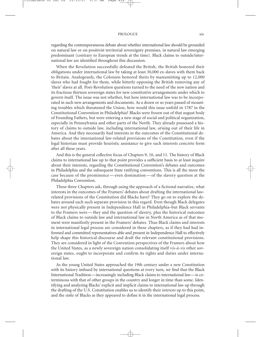## PROLOGUE xix

regarding the contemporaneous debate about whether international law should be grounded on natural law or on positivist territorial sovereignty premises, in natural law emerging predominant (contrary to European trends at the time). Black claims to outside/international law are identified throughout this discussion.

When the Revolution successfully defeated the British, the British honored their obligations under international law by taking at least 30,000 ex-slaves with them back to Britain. Analogously, the Colonists honored theirs by manumitting up to 12,000 slaves who had fought for them, while bitterly opposing the British removing any of 'their' slaves at all. Post-Revolution questions turned to the need of the new nation and its fractious thirteen sovereign states for new constitutive arrangements under which to govern itself. The issue was not whether, but how international law was to be incorporated in such new arrangements and documents. As a dozen or so years passed of mounting troubles which threatened the Union, how would this issue unfold in 1787 in the Constitutional Convention in Philadelphia? Blacks were frozen out of that august body of Founding Fathers, but were entering a new stage of social and political organization, especially in Pennsylvania and other parts of the North. They already possessed a history of claims to outside law, including international law, arising out of their life in America. And they necessarily had interests in the outcomes of the Constitutional debates about the international law-related provisions of the Constitution, even if the legal historian must provide heuristic assistance to give such interests concrete form after all these years.

And this is the general collective focus of Chapters 9, 10, and 11. The history of Black claims to international law up to that point provides a sufficient basis to at least inquire about their interests, regarding the Constitutional Convention's debates and outcomes in Philadelphia and the subsequent State ratifying conventions. This is all the more the case because of the prominence — even domination — of the slavery question at the Philadelphia Convention.

These three Chapters ask, through using the approach of a fictional narrative, what interests in the outcomes of the Framers' debates about drafting the international lawrelated provisions of the Constitution did Blacks have? They go on to explore the debates around each such separate provision in this regard. Even though Black delegates were not physically present in Independence Hall in Philadelphia–but Black servants to the Framers were — they and the question of slavery, plus the historical outcomes of Black claims to outside law and international law in North America as of that moment were manifestly present in the Framers' debates. Thus Black claims and interests in international legal process are considered in these chapters, as if they had had informed and committed representatives able and present in Independence Hall to effectively help shape this historical discourse and draft the relevant constitutional provisions. They are considered in light of the Convention perspectives of the Framers about how the United States, as a newly sovereign nation consolidating itself *vis-à-vis* other sovereign states, ought to incorporate and confirm its rights and duties under international law.

As the young United States approached the 19th century under a new Constitution with its history imbued by international questions at every turn, we find that the Black International Tradition—increasingly including Black claims to international law—is coterminous with that of other groups in the country and longer in time than some. Identifying and analyzing Blacks' explicit and implicit claims to international law up through the drafting of the U.S. Constitution enables us to identify their *interests* up to this point, and the *stake* of Blacks as they appeared to define it in the international legal process.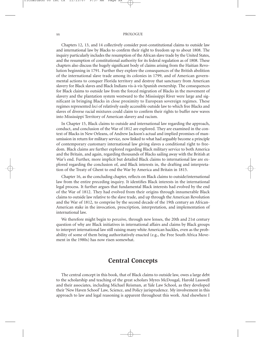#### xx PROLOGUE

Chapters 12, 13, and 14 collectively consider post-constitutional claims to outside law and international law by Blacks to confirm their right to freedom up to about 1808. The inquiry particularly includes the resumption of the African slave trade by the United States, and the resumption of constitutional authority for its federal regulation as of 1808. These chapters also discuss the hugely significant body of claims arising from the Haitian Revolution beginning in 1791. Further they explore the consequences of the British abolition of the international slave trade among its colonies in 1799, and of American governmental actions to conquer Florida territory and destroy that sanctuary from American slavery for Black slaves and Black Indians vis-à-vis Spanish ownership. The consequences for Black claims to outside law from the forced migration of Blacks in the movement of slavery and the plantation system westward to the Mississippi River were large and significant in bringing Blacks in close proximity to European sovereign regimes. These regimes represented *loci* of relatively easily accessible outside law to which free Blacks and slaves of diverse racial mixtures could claim to confirm their rights to buffer new waves into Mississippi Territory of American slavery and racism.

In Chapter 15, Black claims to outside and international law regarding the approach, conduct, and conclusion of the War of 1812 are explored. They are examined in the context of Blacks in New Orleans, of Andrew Jackson's actual and implied promises of manumission in return for military service, now linked to what had arguably become a principle of contemporary customary international law giving slaves a conditional right to freedom. Black claims are further explored regarding Black military service to both America and the Britain, and again, regarding thousands of Blacks sailing away with the British at War's end. Further, more implicit but detailed Black claims to international law are explored regarding the conclusion of, and Black interests in, the drafting and interpretation of the Treaty of Ghent to end the War by America and Britain in 1815.

Chapter 16, as the concluding chapter, reflects on Black claims to outside/international law from the entire preceding inquiry. It identifies Black interests in the international legal process. It further argues that fundamental Black interests had evolved by the end of the War of 1812. They had evolved from their origins through innumerable Black claims to outside law relative to the slave trade, and up through the American Revolution and the War of 1812, to comprise by the second decade of the 19th century an African-American stake in the invocation, prescription, interpretation, and implementation of international law.

We therefore might begin to perceive, through new lenses, the 20th and 21st century question of why are Black initiatives in international affairs and claims by Black groups to interpret international law still raising many white American hackles, even as the probability of some of them being authoritatively enacted (e.g., the Free South Africa Movement in the 1980s) has now risen somewhat.

# **Central Concepts**

The central concept in this book, that of Black claims to outside law, owes a large debt to the scholarship and teaching of the great scholars Myres McDougal, Harold Lasswell and their associates, including Michael Reisman, at Yale Law School, as they developed their 'New Haven School' Law, Science, and Policy jurisprudence. My involvement in this approach to law and legal reasoning is apparent throughout this work. And elsewhere I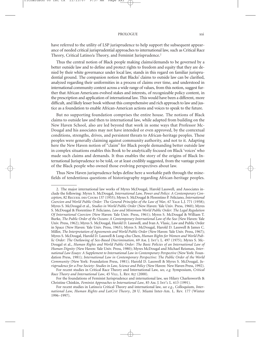#### PROLOGUE xxi

have referred to the utility of LSP jurisprudence to help support the subsequent appearance of needed critical jurisprudential approaches to international law, such as Critical Race Theory, Critical Latino/a Theory, and Feminist Jurisprudence.2

Thus the central notion of Black people making claims/demands to be governed by a better outside law and to define and protect rights to freedom and equity that they are denied by their white governance under local law, stands in this regard on familiar jurisprudential ground. The companion notion that Blacks' claims to outside law can be clarified, analyzed regarding their uniformities in a process of claims over time, and understood in international community context across a wide range of values, from this notion, suggest further that African Americans evolved stakes and interests, of recognizable policy content, in the prescription and application of international law. This would have been a different, more difficult, and likely lesser book without this comprehensive and rich approach to law and justice as a foundation to enable African-American actions and voices to speak to the future.

But no supporting foundation comprises the entire house. The notions of Black claims to outside law and then to international law, while adapted from building on the New Haven School, also are led beyond that work in some ways that Professor Mc-Dougal and his associates may not have intended or even approved, by the contextual conditions, strengths, drives, and persistent threats to African-heritage peoples. These peoples were generally claiming against community authority, and not to it. Adapting here the New Haven notion of "claim" for Black people demanding better outside law in complex situations enables this Book to be analytically focused on Black 'voices' who made such claims and demands. It thus enables the story of the origins of Black International Jurisprudence to be told, or at least credibly suggested, from the vantage point of the Black people who owned those evolving perspectives about law.

Thus New Haven jurisprudence helps define here a workable path through the minefields of tendentious questions of historiography regarding African-heritage peoples.

<sup>2.</sup> The major international law works of Myres McDougal, Harold Lasswell, and Associates include the following: Myres S. McDougal, *International Law, Power and Policy: A Contemporary Conception*, 82 Recueil des Cours 137 (1953); Myres S. McDougal & Florentino P. Feliciano, *International Coercion and World Public Order: The General Principles of the Law of War, 67 YALE L.J. 771 (1958);* Myres S. McDougal et al., *Studies in World Public Order* (New Haven: Yale Univ. Press, 1960); Myres S. McDougal & Florentino P. Feliciano, *Law and Minimum World Public Order: The Legal Regulation Of International Coercion* (New Haven: Yale Univ. Press, 1961); Myres S. McDougal & William T. Burke, *The Public Order of the Oceans: A Contemporary International Law of the Sea* (New Haven: Yale Univ. Press, 1962); Myres S. McDougal, Harold D. Lasswell, and Ivan A. Vlasic, Law and Public Order in Space (New Haven: Yale Univ. Press, 1963); Myres S. McDougal, Harold D. Lasswell & James C. Miller, *The Interpretation of Agreements and World Public Order* (New Haven: Yale Univ. Press, 1967); Myres S. McDougal, Harold D. Lasswell & Lung-chu Chen, *Human Rights for Women and World Public Order: The Outlawing of Sex-Based Discrimination*, 69 Am. J. Int'l L. 497 (1975); Myres S. Mc-Dougal et al., *Human Rights and World Public Order: The Basic Policies of an International Law of Human Dignity* (New Haven: Yale Univ. Press, 1980); Myres McDougal and Michael Reisman, *International Law Essays: A Supplement to International Law in Contemporary Perspective* (New York: Foundation Press, 1981); *International Law in Contemporary Perspective: The Public Order of the World Community* (New York: Foundation Press, 1981); Harold D. Lasswell & Myres S. McDougal, *Jurisprudence for a Free Society: Studies in Law, Science and Policy* (New Haven: New Haven Press, 1992).

For recent studies in Critical Race Theory and International Law, *see*, *e.g.* Symposium, *Critical Race Theory and International Law*, 45 Vill. L. Rev. 827 (2000).

For the foundations of Feminist Jurisprudence and international law, see Hilary Charlesworth & Christine Chinkin, *Feminist Approaches to International Law*, 85 Am. J. Int'l L. 613 (1991).

For recent studies in Latino/a Critical Theory and international law, *see e.g.*, Colloquium, *International Law, Human Rights and LatCrit Theory*, 28 U. Miami Inter-Am. L. Rev. 177 (Winter 1996–1997).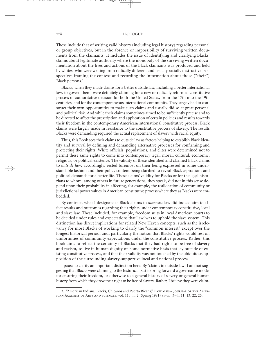These include that of writing valid history (including legal history) regarding personal or group objectives, but in the absence or impossibility of surviving written documents from the claimants. It includes the issue of identifying and clarifying Blacks' claims about legitimate authority where the monopoly of the surviving written documentation about the lives and actions of the Black claimants was produced and held by whites, who were writing from radically different and usually racially destructive perspectives framing the context and recording the information about those ("their") Black persons.3

Blacks, when they made claims for a better outside law, including a better international law, to govern them, were definitely claiming for a new or radically reformed constitutive process of authoritative decision for both the United States, from the 17th into the 19th centuries, and for the contemporaneous international community. They largely had to construct their own opportunities to make such claims and usually did so at great personal and political risk. And while their claims sometimes aimed to be sufficiently precise and to be directed to affect the prescription and application of certain policies and results towards their freedom in the contemporary American/international constitutive process, Black claims were largely made in resistance to the constitutive process of slavery. The results Blacks were demanding required the actual replacement of slavery with racial equity.

Thus, this Book sees their claims to outside law as factors helping to establish Black identity and survival by defining and demanding alternative processes for confirming and protecting their rights. White officials, populations, and elites were determined not to permit these same rights to come into contemporary legal, moral, cultural, economic, religious, or political existence. The validity of these identified and clarified Black claims to *outside law*, accordingly, rested foremost on their being expressed in some understandable fashion and their policy content being clarified to reveal Black aspirations and political demands for a better life. These claims' validity for Blacks or for the legal historians to whom, among others in future generations, they speak, did not in this sense depend upon their probability in affecting, for example, the reallocation of community or jurisdictional power values in American constitutive process where they as Blacks were embedded.

By contrast, what I designate as Black claims to *domestic* law did indeed aim to affect results and outcomes regarding their rights under contemporary constitutive, local and slave law. These included, for example, freedom suits in local American courts to be decided under rules and expectations that 'law' was to uphold the slave system. This distinction has direct implications for related New Haven concepts, such as the irrelevancy for most Blacks of working to clarify the "common interest" except over the longest historical period, and, particularly the notion that Blacks' rights would rest on uniformities of community expectations under the constitutive process. Rather, this book aims to reflect the certainty of Blacks that they had rights to be free of slavery and racism, to live in human dignity on some normative basis that lay outside of existing constitutive process, and that their validity was not touched by the ubiquitous opposition of the surrounding slavery-supportive local and national process.

I pause to clarify an important distinction here. By "claims to outside law" I am not suggesting that Blacks were claiming to the historical past to bring forward a governance model for ensuring their freedom, or otherwise to a general history of slavery or general human history from which they drew their right to be free of slavery. Rather, I believe they were claim-

<sup>3. &</sup>quot;American Indians, Blacks, Chicanos and Puerto Ricans," DAEDALUS - JOURNAL OF THE AMERican Academy of Arts and Sciences, vol. 110, n. 2 (Spring 1981) vi–vii, 3–4, 11, 13, 22, 25.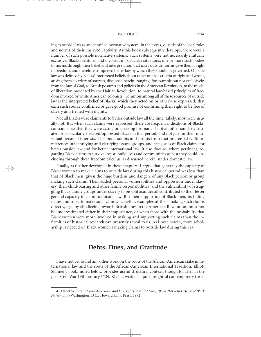#### PROLOGUE xxiii

ing to outside law as an identified normative system, in their eyes, outside of the local rules and norms of their enslaved captivity. As this book subsequently develops, there were a number of such possible normative systems. Such systems were not necessarily mutually exclusive. Blacks identified and invoked, in particular situations, one or more such bodies of norms through their belief and interpretation that *those* outside norms gave them a right to freedom, and therefore comprised better law by which they should be governed. Outside law was defined by Blacks' interpreted beliefs about other outside criteria of right and wrong arising from a variety of sources, discussed herein, ranging, for example but not exclusively, from the law of God, to British postures and policies in the American Revolution, to the model of liberation presented by the Haitian Revolution, to natural law-based principles of freedom invoked by white American colonists. Common among all of these sources of outside law is the interpreted belief of Blacks, which they acted on or otherwise expressed, that each such source confirmed or gave good promise of confirming their right to be free of slavery and treated with dignity.

Not all Blacks were claimants to better outside law all the time. Likely, most were usually not. But when such claims were expressed, there are frequent indications of Blacks' consciousness that they were acting or speaking for many if not all other similarly situated or particularly enslaved/oppressed Blacks in that period, and not just for their individual personal interests. This book adopts and profits from that inferential width of references in identifying and clarifying issues, groups, and categories of Black claims for better outside law and for better international law. It also does so, where pertinent, regarding Black claims to survive, resist, build lives and communities as best they could, including through their 'freedom calculus' as discussed herein, under domestic law.

Finally, as further developed in these chapters, I argue that generally the capacity of Black women to make claims to outside law during this historical period was less than that of Black men, given the huge burdens and dangers of any Black person or group making such claims. Their added personal vulnerabilities and oppression under slavery, their child-rearing and other family responsibilities, and the vulnerability of struggling Black family groups under slavery to be split asunder all contributed to their lesser general capacity to claim to outside law. But their supporting of Black men, including mates and sons, to make such claims, as well as examples of their making such claims directly, e.g., by also fleeing towards British lines in the American Revolution, must not be underestimated either in their importance, or when faced with the probability that Black women were more involved in making and supporting such claims than the infirmities of historical research can presently reveal to us. As I note herein, more scholarship is needed on Black women's making claims to outside law during this era.

## **Debts, Dues, and Gratitude**

I have not yet found any other work on the roots of the African-American stake in international law and the roots of the African-American International Tradition. Elliott Skinner's book, noted below, provides useful structural context, though for later in the post-Civil War 19th century.4 Y.N. Kly has written a quite insightful contemporary treat-

<sup>4.</sup> Elliott Skinner, *African Americans and U.S. Policy toward Africa, 1850*–*1924 – In Defense of Black Nationality* (Washington, D.C.: Howard Univ. Press, 1992).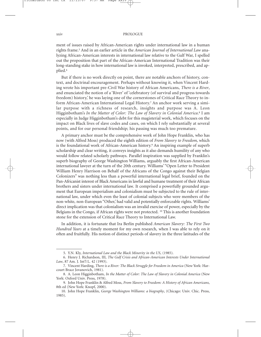ment of issues raised by African-American rights under international law in a human rights frame.5 And in an earlier article in the *American Journal of International Law* analyzing African-American interests in international law relative to the Gulf War, I spelled out the proposition that part of the African-American International Tradition was their long-standing stake in how international law is invoked, interpreted, prescribed, and applied.6

But if there is no work directly on point, there are notable anchors of history, context, and doctrinal encouragement. Perhaps without knowing it, when Vincent Harding wrote his important pre-Civil War history of African Americans, *There is a River*, and enunciated the notion of a 'River' of 'celebratory (of survival and progress towards freedom) history,' he was laying one of the cornerstones of Critical Race Theory to inform African-American International Legal History.7 An anchor work serving a similar purpose with a richness of research, insights and purpose was A. Leon Higginbotham's *In the Matter of Color: The Law of Slavery in Colonial America*. <sup>8</sup> I am especially in Judge Higginbotham's debt for this magisterial work, which focuses on the impact on Black lives of slave codes and cases, on which I rely substantially at several points, and for our personal friendship; his passing was much too premature.

A primary anchor must be the comprehensive work of John Hope Franklin, who has now (with Alfred Moss) produced the eighth edition of *From Slavery to Freedom,* which is the foundational work of African-American history.<sup>9</sup> An inspiring example of superb scholarship and clear writing, it conveys insights as it also demands humility of any who would follow related scholarly pathways. Parallel inspiration was supplied by Franklin's superb biography of George Washington Williams, arguably the first African-American international lawyer at the turn of the 20th century. Williams' "Open Letter to President William Henry Harrison on Behalf of the Africans of the Congo against their Belgian Colonizers" was nothing less than a powerful international legal brief, founded on the Pan-Africanist interest of Black Americans in lawful and humane treatment of their African brothers and sisters under international law. It comprised a powerfully grounded argument that European imperialism and colonialism must be subjected to the rule of international law, under which even the least of colonial subjects who were members of the non-white, non-European "Other,' had valid and potentially enforceable rights. Williams' direct implication was that colonialism was an invalid exercise of power, especially by the Belgians in the Congo, if African rights were not protected. <sup>10</sup> This is another foundation stone for the extension of Critical Race Theory to International Law.

In addition, it is fortunate that Ira Berlin published *American Slavery: The First Two Hundred Years* at a timely moment for my own research, when I was able to rely on it often and fruitfully. His notion of distinct periods of slavery in the three latitudes of the

<sup>5.</sup> Y.N. Kly, *International Law and the Black Minority in the US*, (1985).

<sup>6.</sup> Henry J. Richardson, III, *The Gulf Crisis and African-American Interests Under International Law*, 87 Am. J. Int'l L. 42 (1993).

<sup>7.</sup> Vincent Harding, *There is a River: The Black Struggle for Freedom in America* (New York: Harcourt Brace Jovanovich, 1981).

<sup>8.</sup> A. Leon Higginbotham, *In the Matter of Color: The Law of Slavery in Colonial America* (New York: Oxford Univ. Press, 1978).

<sup>9.</sup> John Hope Franklin & Alfred Moss, *From Slavery to Freedom: A History of African Americans*, 8th ed (New York: Knopf, 2000).

<sup>10.</sup> John Hope Franklin, *George Washington Williams: a biography*, (Chicago: Univ. Chic. Press, 1985).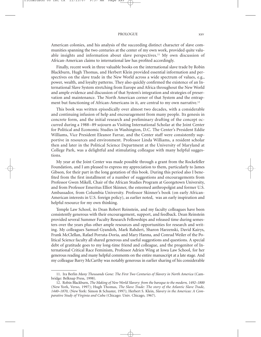## PROLOGUE xxv

American colonies, and his analysis of the succeeding distinct character of slave communities spanning the two centuries at the center of my own work, provided quite valuable insights and information about slave perspectives.11 My own discussion of African-American claims to international law has profited accordingly.

Finally, recent work in three valuable books on the international slave trade by Robin Blackburn, Hugh Thomas, and Herbert Klein provided essential information and perspectives on the slave trade in the New World across a wide spectrum of values, e.g., power, wealth, and loyalty patterns. They also quickly confirmed the existence of an International Slave System stretching from Europe and Africa throughout the New World and ample evidence and discussion of that System's integration and strategies of preservation and maintenance. The North American corner of that System and the entrapment but functioning of African-Americans in it, are central to my own narrative.12

This book was written episodically over almost two decades, with a considerable and continuing infusion of help and encouragement from many people. Its genesis in concrete form, and the initial research and preliminary drafting of the concept occurred during a 1988–89 sojourn as Visiting International Scholar at the Joint Center for Political and Economic Studies in Washington, D.C. The Center's President Eddie Williams, Vice President Eleanor Farrar, and the Center staff were consistently supportive in resources and environment. Professor Linda Williams, a resident scholar then and later in the Political Science Department at the University of Maryland at College Park, was a delightful and stimulating colleague with many helpful suggestions.

My year at the Joint Center was made possible through a grant from the Rockefeller Foundation, and I am pleased to express my appreciation to them, particularly to James Gibson, for their part in the long gestation of this book. During this period also I benefited from the first installment of a number of suggestions and encouragements from Professor Gwen Mikell, Chair of the African Studies Program at Georgetown University, and from Professor Emeritus Elliot Skinner, the esteemed anthropolgist and former U.S. Ambassador, from Columbia University. Professor Skinner's book (on early African-American interests in U.S. foreign policy), as earlier noted, was an early inspiration and helpful resource for my own thinking.

Temple Law School, its Dean Robert Reinstein, and my faculty colleagues have been consistently generous with their encouragement, support, and feedback. Dean Reinstein provided several Summer Faculty Research Fellowships and released time during semesters over the years plus other ample resources and opportunities for research and writing. My colleagues Samuel Gyandoh, Mark Rahdert, Sharon Harzenski, David Kairys, Frank McClellan, Rafael Porrata-Doria, and Mary Hanna, and Conrad Weiler of the Political Science faculty all shared generous and useful suggestions and questions. A special debt of gratitude goes to my long-time friend and colleague, and the progenitor of International Critical Race Feminism, Professor Adrien Wing at Iowa Law School, for her generous reading and many helpful comments on the entire manuscript at a late stage. And my colleague Barry McCarthy was notably generous in earlier sharing of his considerable

<sup>11.</sup> Ira Berlin *Many Thousands Gone: The First Two Centuries of Slavery in North America* (Cambridge: Belknap Press, 1998).

<sup>12.</sup> Robin Blackburn, *The Making of New World Slavery: from the baroque to the modern, 1492*–*1800* (New York, Verso, 1997); Hugh Thomas, *The Slave Trade: The story of the Atlantic Slave Trade, 1440*–*1870*, (New York: Simon & Schuster, 1997); Herbert S. Klein, *Slavery in the Americas: A Comparative Study of Virginia and Cuba* (Chicago: Univ. Chicago, 1967).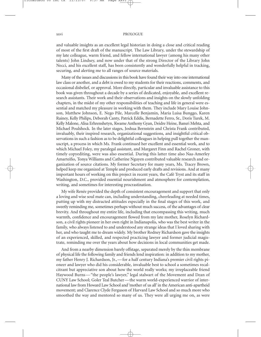#### xxvi PROLOGUE

and valuable insights as an excellent legal historian in doing a close and critical reading of most of the first draft of the manuscript. The Law Library, under the stewardship of my late colleague, warm friend, and fellow international lawyer (among his many other talents) John Lindsey, and now under that of the strong Director of the Library John Necci, and his excellent staff, has been consistently and wonderfully helpful in tracking, securing, and alerting me to all ranges of source materials.

Many of the issues and discussions in this book have found their way into one international law class or another, and a debt is owed to my students for their reactions, comments, and occasional disbelief, or approval. More directly, particular and invaluable assistance to this book was given throughout a decade by a series of dedicated, enjoyable, and excellent research assistants. Their work and their observations and insights on the slowly unfolding chapters, in the midst of my other responsibilities of teaching and life in general were essential and matched my pleasure in working with them. They include Mary Louise Johnson, Matthew Johnson, E. Nego Pile, Marcelle Benjamin, Maria Luisa Bunggo, Karen Rainey, Kelly Philips, Deborah Canty, Patrick Eddis, Bernadette Ferro, Sr., Doris Turek, M. Kelly Malone, Alisa Erhrenshetyn, Kwame Anthony Gyan, Deidre Heine, Bansri Mehta, and Michael Poulshock. In the later stages, Joshua Bernstein and Christa Frank contributed, invaluably, their inspired research, organizational suggestions, and insightful critical observations in such a fashion as to be delightful colleagues in helping pull together the manuscript, a process in which Ms. Frank continued her excellent and essential work, and to which Michael Foley, my paralegal assistant, and Margaret Finn and Rachel Groner, with timely copyediting, were was also essential. During this latter time also Naa-Amerley Amarteifio, Tonya Williams and Catherine Nguyen contributed valuable research and organization of source citations. My former Secretary for many years, Ms. Tracey Brown, helped keep me organized at Temple and produced early drafts and revisions. And at many important hours of working on this project in recent years, the Café Tryst and its staff in Washington, D.C., provided essential nourishment and atmosphere for contemplation, writing, and sometimes for interesting procrastination.

My wife Renée provided the depth of consistent encouragement and support that only a loving and wise soul mate can, including understanding, cheerleading at needed times, putting up with my distracted attitudes especially in the final stages of this work, and sweetly reminding me, sometimes perhaps without much success, of the advantages of clear brevity. And throughout my entire life, including that encompassing this writing, much warmth, confidence and encouragement flowed from my late mother, Roselyn Richardson, a civil rights pioneer in her own right in Indianapolis, who was the best writer in the family, who always listened to and understood any strange ideas that I loved sharing with her, and who taught me to dream widely. My brother Rodney Richardson gave the insights of an experienced, skilled, and respected practicing lawyer and former judicial magistrate, reminding me over the years about how decisions in local communities get made.

And from a nearby dimension barely offstage, separated merely by the thin membrane of physical life the following family and friends lend inspiration: in addition to my mother, my father Henry J. Richardson, Jr., — for a half century Indiana's premier civil rights pioneer and lawyer who did his considerable, invaluable best to school a sometimes recalcitrant but appreciative son about how the world really works; my irreplaceable friend Haywood Burns — "the people's lawyer," legal stalwart of the Movement and Dean of CUNY Law School; Goler Teal Butcher — the warm world-experienced warrior of international law from Howard Law School and 'mother of us all' in the American anti-apartheid movement; and Clarence Clyde Ferguson of Harvard Law School and so much more who smoothed the way and mentored so many of us. They were all urging me on, as were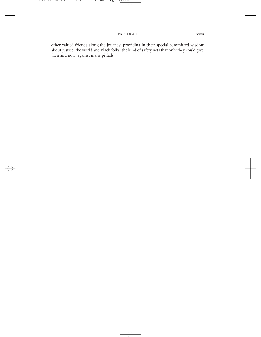other valued friends along the journey, providing in their special committed wisdom about justice, the world and Black folks, the kind of safety nets that only they could give, then and now, against many pitfalls.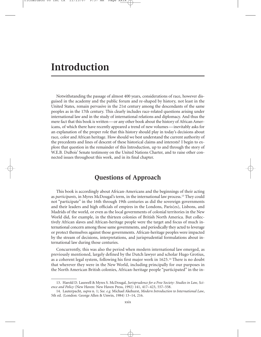# **Introduction**

Notwithstanding the passage of almost 400 years, considerations of race, however disguised in the academy and the public forum and re-shaped by history, not least in the United States, remain pervasive in the 21st century among the descendants of the same peoples as in the 17th century. This clearly includes race-related questions arising under international law and in the study of international relations and diplomacy. And thus the mere fact that this book is written—or any other book about the history of African Americans, of which there have recently appeared a trend of new volumes—inevitably asks for an explanation of the proper role that this history should play in today's decisions about race, color and African heritage. How should we best understand the current authority of the precedents and lines of descent of these historical claims and interests? I begin to explore that question in the remainder of this Introduction, up to and through the story of W.E.B. DuBois' Senate testimony on the United Nations Charter, and to raise other connected issues throughout this work, and in its final chapter.

# **Questions of Approach**

This book is accordingly about African-Americans and the beginnings of their acting as *participants*, in Myres McDougal's term, in the international law process.13 They could not "participate" in the 16th through 19th centuries as did the sovereign governments and their leaders and high officials of empires in the Londons, Paris(es), Lisbons, and Madrids of the world, or even as the local governments of colonial territories in the New World did, for example, in the thirteen colonies of British North America. But collectively African slaves and African-heritage people were the target and focus of much international concern among those same governments, and periodically they acted to leverage or protect themselves against those governments. African-heritage peoples were impacted by the stream of decisions, interpretations, and jurisprudential formulations about international law during those centuries.

Concurrently, this was also the period when modern international law emerged, as previously mentioned, largely defined by the Dutch lawyer and scholar Hugo Grotius, as a coherent legal system, following his first major work in 1625.14 There is no doubt that wherever they were in the New World, including principally for our purposes in the North American British colonies, African-heritage people "participated" in the in-

<sup>13.</sup> Harold D. Lasswell & Myres S. McDougal, *Jurisprudence for a Free Society: Studies in Law, Science and Policy* (New Haven: New Haven Press, 1992) 141, 417–423, 557–558.

<sup>14.</sup> Lauterpacht, *supra* n. 1; *See. e.g.* Michael Akehurst, *Modern Introduction to International Law*, 5th ed. (London: George Allen & Unwin, 1984) 13–14, 216.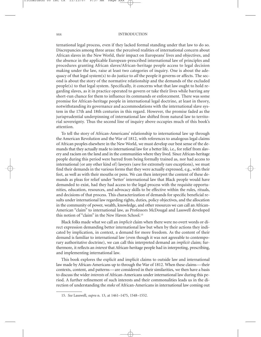ternational legal process, even if they lacked formal standing under that law to do so. Discrepancies among three areas: the perceived realities of international concern about African slaves in the New World, their impact on Europeans' lives and objectives, and the absence in the applicable European-prescribed international law of principles and procedures granting African slaves/African-heritage people access to legal decision making under the law, raise at least two categories of inquiry. One is about the adequacy of that legal system(s) to do justice to *all* the people it governs or affects. The second is about the story of the normative relationship and the demands of the excluded people(s) to that legal system. Specifically, it concerns what that law ought to hold regarding slaves, as it in practice operated to govern or take their lives while barring any short-run chance for them to influence its commands or enforcement. There was some promise for African-heritage people in international legal doctrine, at least in theory, notwithstanding its governance and accommodations with the international slave system in the 17th and 18th centuries in this regard. However, the promise faded as the jurisprudential underpinning of international law shifted from natural law to territorial sovereignty. Thus the second line of inquiry above occupies much of this book's attention.

To tell the story of African-Americans' relationship to international law up through the American Revolution and the War of 1812, with references to analogous legal claims of African peoples elsewhere in the New World, we must develop our best sense of the demands that they actually made to international law for a better life, i.e., for relief from slavery and racism on the land and in the communities where they lived. Since African-heritage people during this period were barred from being formally trained as, nor had access to international (or any other kind of) lawyers (save for extremely rare exceptions), we must find their demands in the various forms that they were actually expressed, e.g., with their feet, as well as with their mouths or pens. We can then interpret the content of these demands as pleas for relief under 'better' international law that Black people would have demanded to exist, had they had access to the legal process with the requisite opportunities, education, resources, and advocacy skills to be effective within the rules, rituals, and decisions of that process. This characterization of demands for specific beneficial results under international law regarding rights, duties, policy objectives, and the allocation in the community of power, wealth, knowledge, and other resources we can call an African-American "claim" to international law, as Professors McDougal and Lasswell developed this notion of "claim" in the New Haven School.<sup>15</sup>

Black folks made what we call an *implicit* claim when there were no overt words or direct expression demanding better international law but when by their actions they indicated by implication, in context, a demand for more freedom. As the content of their demand is familiar to international law (even though it was not agreeable to contemporary authoritative doctrine), we can call this interpreted demand an *implicit* claim; furthermore, it reflects an *interest* that African-heritage people had in interpreting, prescribing, and implementing international law.

This book explores the explicit and implicit claims to outside law and international law made by African-Americans up to through the War of 1812. When these claims—their contexts, content, and patterns—are considered in their similarities, we then have a basis to discuss the wider *interests* of African-Americans under international law during this period. A further refinement of such interests and their commonalities leads us in the direction of understanding the *stake* of African-Americans in international law coming out

<sup>15.</sup> *See* Lasswell, *supra* n. 13, at 1461–1475, 1548–1552.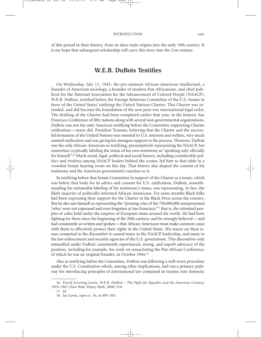of this period in their history, from its slave trade origins into the early 19th century. It is my hope that subsequent scholarship will carry this story into the 21st century.

# **W.E.B. DuBois Testifies**

On Wednesday, July 11, 1945, the pre-eminent African-American intellectual, a founder of American sociology, a founder of modern Pan-Africanism, and chief publicist for the National Association for the Advancement of Colored People (NAACP), W.E.B. DuBois, testified before the Foreign Relations Committee of the U.S. Senate in favor of the United States' ratifying the United Nations Charter. This Charter was intended, and did become the foundation of the new post-war international legal order. The drafting of the Charter had been completed earlier that year, in the historic San Francisco Conference of fifty nations along with several non-governmental organizations. DuBois was not the only American testifying before the Committee supporting Charter ratification — many did. President Truman, believing that the Charter and the successful formation of the United Nations was essential to U.S. interests and welfare, very much wanted ratification and was giving his strongest support to the process. However, DuBois was the only African-American so testifying, presumptively representing the NAACP, but somewhat cryptically labeling the status of his own testimony as "speaking only officially for himself".16 Much racial, legal, political and social history, including considerable politics and rivalries among NAACP leaders behind the scenes, led him to that table in a crowded Senate hearing room on this day. That history also shaped the content of his testimony and the American government's reaction to it.

In testifying before that Senate Committee in support of the Charter as a treaty, which was before that body for its advice and consent for U.S. ratification, DuBois, notwithstanding his minimalist labeling of his testimony's status, was representing, in fact, the likely majority of politically informed African-Americans. For some months Black folks had been expressing their support for the Charter in the Black Press across the country. But he also saw himself as representing the "pressing cries of the 750,000,000 unrepresented [who] were not expressed and even forgotten at San Francisco,"<sup>17</sup> that is, the colonized peoples of color held under the empires of European states around the world. He had been fighting for them since the beginning of the 20th century, and he strongly believed—and had consistently so written and spoken—that African-Americans must make common cause with them to effectively protect their rights in the United States. His stance on these issues competed in the discomfort it caused many in the NAACP leadership, and many in the law enforcement and security agencies of the U.S. government. This discomfort only intensified under DuBois' consistently experienced, strong, and superb advocacy of the position, including for example, his work on resuscitating the Pan-African Conference, of which he was an original founder, in October 1944.18

Also in testifying before the Committee, DuBois was following a well-worn procedure under the U.S. Constitution which, among other implications, laid out a primary pathway for introducing principles of international law contained in treaties into domestic

<sup>16.</sup> David Levering Lewis, *W.E.B. DuBois – The Fight for Equality and the American Century, 1919*–*1963* (New York: Henry Holt, 2000) 510.

<sup>17.</sup> *Id.*

<sup>18.</sup> *See* Lewis, *supra* n. 16, at 499–503.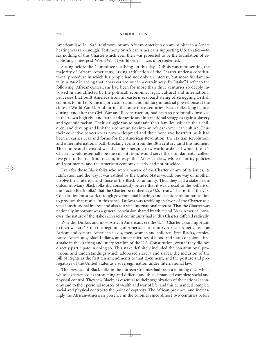#### xxxii INTRODUCTION

American law. In 1945, testimony by any African American on any subject in a Senate hearing was rare enough. Testimony by African Americans supporting U.S. treaties — to say nothing of this Charter which even then was projected to be the foundation of establishing a new post-World War II world order — was unprecedented.

Sitting before the Committee testifying on this day, DuBois was representing the majority of African-Americans, urging ratification of the Charter under a constitutional procedure in which his people had not only an interest, but more fundamentally, a *stake* in seeing that it was carried out in a certain way. By "stake" I refer to the following. African-Americans had been for more than three centuries so deeply involved in and afflicted by the political, economic, legal, cultural and international processes that built America from an eastern seaboard string of struggling British colonies to, in 1945, the major victor nation and military industrial powerhouse at the close of World War II. And during the same three centuries, Black folks, long before, during, and after the Civil War and Reconstruction, had been so profoundly involved in their own high risk and parallel domestic and international struggles against slavery and systemic racism. Their struggle was to maintain their families, educate their children, and develop and link their communities into an African-American culture. Thus their collective concern was now widespread and their hope was heartfelt, as it had been in earlier eras and forms for the American Revolution, the Haitian Revolution, and other international path-breaking events from the 18th century until this moment. Their hope and demand was that the emerging new world order, of which the UN Charter would essentially be the constitution, would serve their fundamental collective goal to be free from racism, in ways that American law, white majority policies and sentiments, and the American economy clearly had not provided.

Even for those Black folks who were unaware of the Charter or any of its issues, its ratification and the way it was ratified by the United States would, one way or another, involve their interests and those of the Black community. Thus they had a stake in the outcome. Many Black folks did consciously believe that it was crucial to the welfare of the "race" (Black folks) that the Charter be ratified as a U.S. treaty. That is, that the U.S. Constitution must work through governmental hearings and decisions about ratification to produce that result. In this sense, DuBois was testifying in favor of the Charter as a vital constitutional interest and also as a vital international interest. That the Charter was nationally important was a general conclusion shared by white and Black America; however, the nature of the stake each racial community had in this Charter differed radically.

Why did DuBois and most African Americans see the U.N. Charter as so important to their welfare? From the beginning of America as a country African-Americans — as African and African-American slaves, men, women and children, Free Blacks, creoles, Native Americans, Black Indians, and other mixtures of blood and status of color — had a stake in the drafting and interpretation of the U.S. Constitution, even if they did not directly participate in doing so. This stake definitely included the constitutional provisions and understandings which addressed slavery and slaves, the inclusion of the Bill of Rights as the first ten amendments to that document, and the posture and prerogatives of the United States as a sovereign nation under international law.

The presence of Black folks in the thirteen Colonies had been a looming one, which whites experienced as threatening and difficult and thus demanded complete social and physical control. They saw Blacks as essential to their organization of the national economy and to their personal sources of wealth and way of life, and this demanded complete social and physical control to the point of captivity. The African presence, and increasingly the African-American presence in the colonies since almost two centuries before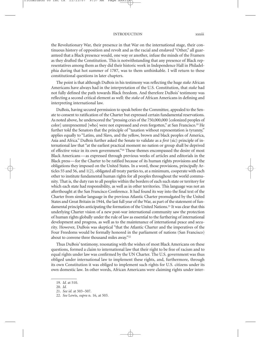## INTRODUCTION xxxiii

the Revolutionary War, their presence in that War on the international stage, their continuous history of opposition and revolt and as the racial and enslaved "Other," all guaranteed that a Black presence would, one way or another, infuse the minds of the Framers as they drafted the Constitution. This is notwithstanding that any presence of Black representatives among them as they did their historic work in Independence Hall in Philadelphia during that hot summer of 1787, was to them unthinkable. I will return to these constitutional questions in later chapters.

The point is that although DuBois in his testimony was reflecting the huge *stake* African Americans have always had in the interpretation of the U.S. Constitution, that *stake* had not fully defined the path towards Black freedom. And therefore DuBois' testimony was reflecting a second critical element as well: the *stake* of African Americans in defining and interpreting international law.

DuBois, having secured permission to speak before the Committee, appealed to the Senate to consent to ratification of the Charter but expressed certain fundamental reservations. As noted above, he underscored the "pressing cries of the 750,000,000 [colonized peoples of color] unrepresented [who] were not expressed and even forgotten," at San Francisco.19 He further told the Senators that the principle of "taxation without representation is tyranny," applies equally to "Latins, and Slavs, and the yellow, brown and black peoples of America, Asia and Africa." DuBois further asked the Senate to validate as a *first* (sic) principle of international law that "at the earliest practical moment no nation or group shall be deprived of effective voice in its own government."20 These themes encompassed the desire of most Black Americans—as expressed through previous weeks of articles and editorials in the Black press—for the Charter to be ratified because of its human rights provisions and the obligations they imposed on the United States. In a word, those provisions, principally Articles 55 and 56, and  $1(2)$ , obligated all treaty parties to, at a minimum, cooperate with each other to institute fundamental human rights for all peoples throughout the world community. That is, the duty ran to all peoples within the borders of each such state or territory for which each state had responsibility, as well as in other territories. This language was not an afterthought at the San Francisco Conference. It had found its way into the final text of the Charter from similar language in the previous Atlantic Charter promulgated by the United States and Great Britain in 1944, the last full year of the War, as part of the statement of fundamental principles anticipating the formation of the United Nations.21 It was clear that this underlying Charter vision of a new post-war international community saw the protection of human rights globally under the rule of law as essential to the furthering of international development and progress, as well as to the maintenance of international peace and security. However, DuBois was skeptical "that the Atlantic Charter and the imperatives of the Four Freedoms would be formally honored in the parliament of nations (San Francisco) about to convene three thousand miles away."22

Thus DuBois' testimony, resonating with the wishes of most Black Americans on these questions, formed a claim to international law that their right to be free of racism and to equal rights under law was confirmed by the UN Charter. The U.S. government was thus obliged under international law to implement these rights, and, furthermore, through its own Constitution it was obliged to implement such rights for U.S. citizens under its own domestic law. In other words, African Americans were claiming rights under inter-

<sup>19.</sup> *Id.* at 510.

<sup>20.</sup> *Id.*

<sup>21.</sup> *See id.* at 503–507.

<sup>22.</sup> *See* Lewis, *supra* n. 16, at 503.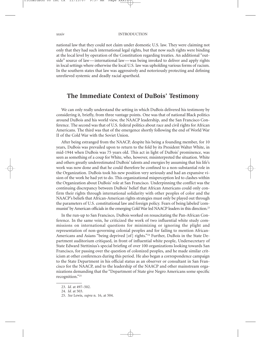national law that they could not claim under domestic U.S. law. They were claiming not only that they had such international legal rights, but that now such rights were binding at the local level by operation of the Constitution regarding treaties. An additional "outside" source of law — international law — was being invoked to deliver and apply rights in local settings where otherwise the local U.S. law was upholding various forms of racism. In the southern states that law was aggressively and notoriously protecting and defining unrelieved systemic and deadly racial apartheid.

# **The Immediate Context of DuBois' Testimony**

We can only really understand the setting in which DuBois delivered his testimony by considering it, briefly, from three vantage points. One was that of national Black politics around DuBois and his world view, the NAACP leadership, and the San Francisco Conference. The second was that of U.S. federal politics about race and civil rights for African Americans. The third was that of the emergence shortly following the end of World War II of the Cold War with the Soviet Union.

After being estranged from the NAACP, despite his being a founding member, for 10 years, DuBois was prevailed upon to return to the fold by its President Walter White, in mid-1944 when DuBois was 75 years old. This act in light of DuBois' prominence, was seen as something of a coup for White, who, however, misinterpreted the situation. White and others greatly underestimated DuBois' talents and energies by assuming that his life's work was now done and that he could therefore be confined to a non-substantial role in the Organization. DuBois took his new position very seriously and had an expansive vision of the work he had yet to do. This organizational misperception led to clashes within the Organization about DuBois' role at San Francisco. Underpinning the conflict was the continuing discrepancy between DuBois' belief that African Americans could only confirm their rights through international solidarity with other peoples of color and the NAACP's beliefs that African-American rights strategies must only be played out through the parameters of U.S. constitutional law and foreign policy. Fears of being labeled 'communist' by American officials in the emerging Cold War led NAACP leaders in this direction.23

In the run-up to San Francisco, DuBois worked on resuscitating the Pan-African Conference. In the same vein, he criticized the work of two influential white study commissions on international questions for minimizing or ignoring the plight and representation of non-governing colonial peoples and for failing to mention African-Americans and Asians "being deprived [of] rights."24 Further, DuBois in the State Department auditorium critiqued, in front of influential white people, Undersecretary of State Edward Stettinius's special briefing of over 100 organizations looking towards San Francisco, for passing over the question of colonized peoples, and he made similar criticism at other conferences during this period. He also began a correspondence campaign to the State Department in his official status as an observer or consultant in San Francisco for the NAACP, and to the leadership of the NAACP and other mainstream organizations demanding that the "Department of State give Negro Americans some specific recognition."25

<sup>23.</sup> *Id.* at 497–502.

<sup>24.</sup> *Id.* at 503.

<sup>25.</sup> *See* Lewis, *supra* n. 16, at 504.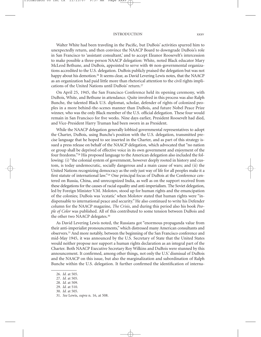## INTRODUCTION xxxv

Walter White had been traveling in the Pacific, but DuBois' activities spurred him to unexpectedly return, and then convince the NAACP Board to downgrade DuBois's role in San Francisco to 'assistant consultant,' and to accept Eleanor Roosevelt's intercession to make possible a three-person NAACP delegation: White, noted Black educator Mary McLeod Bethune, and DuBois, appointed to serve with 46 non-governmental organizations accredited to the U.S. delegation. DuBois publicly praised the delegation but was not happy about his demotion.<sup>26</sup> It seems clear, as David Levering Lewis notes, that the NAACP as an organization had paid little more than rhetorical attention to the civil rights implications of the United Nations until DuBois' return.27

On April 25, 1945, the San Francisco Conference held its opening ceremony, with DuBois, White, and Bethune in attendance. Quite involved in this process was also Ralph Bunche, the talented Black U.S. diplomat, scholar, defender of rights of colonized peoples in a more behind-the-scenes manner than DuBois, and future Nobel Peace Prize winner, who was the only Black member of the U.S. official delegation. These four would remain in San Francisco for five weeks. Nine days earlier, President Roosevelt had died, and Vice-President Harry Truman had been sworn in as President.

While the NAACP delegation generally lobbied governmental representatives to adopt the Charter, DuBois, using Bunche's position with the U.S. delegation, transmitted precise language that he hoped to see inserted in the Charter, and as part of this strategy issued a press release on behalf of the NAACP delegation, which advocated that "no nation or group shall be deprived of effective voice in its own government and enjoyment of the four freedoms."28 His proposed language to the American delegation also included the following: (i) "the colonial system of government, however deeply rooted in history and custom, is today undemocratic, socially dangerous and a main cause of wars; and (ii) the United Nations recognizing democracy as the only just way of life for all peoples make it a first statute of international law."<sup>29</sup> One principal focus of DuBois at the Conference centered on Russia, China, and unrecognized India, as well as on the support received from these delegations for the causes of racial equality and anti-imperialism. The Soviet delegation, led by Foreign Minister V.M. Molotov, stood up for human rights and the emancipation of the colonies; DuBois was 'ecstatic' when Molotov stated that human rights were "indispensable to international peace and security." He also continued to write his Defender column for the NAACP magazine, *The Crisis*, and during this period also his book *People of Color* was published. All of this contributed to some tension between DuBois and the other two NAACP delegates.30

As David Levering Lewis noted, the Russians got "enormous propaganda value from their anti-imperialist pronouncements," which distressed many American consultants and observers.31 And more notably, between the beginning of the San Francisco conference and mid-May 1945, it was announced by the U.S. Secretary of State that the United States would neither propose nor support a human rights declaration as an integral part of the Charter. Both NAACP Executive Secretary Roy Wilkins and DuBois were stunned by this announcement. It confirmed, among other things, not only the U.S.' dismissal of DuBois and the NAACP on this issue, but also the marginalization and subordination of Ralph Bunche within the U.S. delegation. It further confirmed the identification of interna-

<sup>26.</sup> *Id.* at 505.

<sup>27.</sup> *Id.* at 505.

<sup>28.</sup> *Id.* at 509.

<sup>29.</sup> *Id.* at 510.

<sup>30.</sup> *Id.* at 505.

<sup>31.</sup> *See* Lewis, *supra* n. 16, at 508.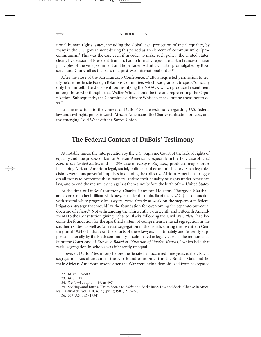tional human rights issues, including the global legal protection of racial equality, by many in the U.S. government during this period as an element of 'communism' or 'procommunism.' This was the case even if in order to make such policy, the United States, clearly by decision of President Truman, had to formally repudiate at San Francisco major principles of the very prominent and hope-laden Atlantic Charter promulgated by Roosevelt and Churchill as the basis of a post-war international order.<sup>32</sup>

After the close of the San Francisco Conference, DuBois requested permission to testify before the Senate Foreign Relations Committee, which was granted, to speak "officially only for himself." He did so without notifying the NAACP, which produced resentment among those who thought that Walter White should be the one representing the Organization. Subsequently, the Committee did invite White to speak, but he chose not to do so.33

Let me now turn to the context of DuBois' Senate testimony regarding U.S. federal law and civil rights policy towards African-Americans, the Charter ratification process, and the emerging Cold War with the Soviet Union.

# **The Federal Context of DuBois' Testimony**

At notable times, the interpretation by the U.S. Supreme Court of the lack of rights of equality and due process of law for African-Americans, especially in the 1857 case of *Dred Scott v. the United States*, and in 1896 case of *Plessy v. Ferguson*, produced major forces in shaping African-American legal, social, political and economic history. Such legal decisions were thus powerful impulses in defining the collective African-American struggle on all fronts to overcome these barriers, realize their equality of rights under American law, and to end the racism levied against them since before the birth of the United States.

At the time of DuBois' testimony, Charles Hamilton Houston, Thurgood Marshall, and a corps of other brilliant Black lawyers under the umbrella of the NAACP, in conjunction with several white progressive lawyers, were already at work on the step-by-step federal litigation strategy that would lay the foundation for overcoming the separate-but-equal doctrine of *Plessy*. <sup>34</sup> Notwithstanding the Thirteenth, Fourteenth and Fifteenth Amendments to the Constitution giving rights to Blacks following the Civil War, *Plessy* had become the foundation for the apartheid system of comprehensive racial segregation in the southern states, as well as for racial segregation in the North, during the Twentieth Century until 1954.<sup>35</sup> In that year the efforts of these lawyers—intimately and fervently supported nationally by the Black community—culminated in legal victory in the monumental Supreme Court case of *Brown v. Board of Education of Topeka, Kansas*, <sup>36</sup> which held that racial segregation in schools was inherently unequal.

However, DuBois' testimony before the Senate had occurred nine years earlier. Racial segregation was abundant in the North and omnipotent in the South. Male and female African-American troops after the War were being demobilized from segregated

<sup>32.</sup> *Id.* at 507–509.

<sup>33.</sup> *Id.* at 519.

<sup>34.</sup> *See* Lewis, *supra* n. 16, at 497.

<sup>35.</sup> *See* Haywood Burns, "From *Brown* to *Bakke* and Back: Race, Law and Social Change in America," Daedalus, vol. 110, n. 2 (Spring 1981) 219–220.

<sup>36. 347</sup> U.S. 483 (1954).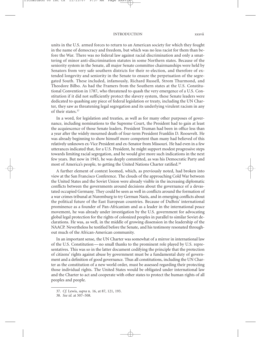## INTRODUCTION xxxvii

units in the U.S. armed forces to return to an American society for which they fought in the name of democracy and freedom, but which was no less racist for them than before the War. There was no federal law against racial discrimination and only a smattering of minor anti-discrimination statutes in some Northern states. Because of the seniority system in the Senate, all major Senate committee chairmanships were held by Senators from very safe southern districts for their re-election, and therefore of extended longevity and seniority in the Senate to ensure the perpetuation of the segregated South. These included, infamously, Richard Russell, Strom Thurmond, and Theodore Bilbo. As had the Framers from the Southern states at the U.S. Constitutional Convention in 1787, who threatened to quash the very emergence of a U.S. Constitution if it did not sufficiently protect the slavery system, these Senate leaders were dedicated to quashing any piece of federal legislation or treaty, including the UN Charter, they saw as threatening legal segregation and its underlying virulent racism in any of their states.37

In a word, for legislation and treaties, as well as for many other purposes of governance, including nominations to the Supreme Court, the President had to gain at least the acquiescence of those Senate leaders. President Truman had been in office less than a year after the widely mourned death of four-term President Franklin D. Roosevelt. He was already beginning to show himself more competent than many had believed of this relatively unknown ex-Vice President and ex-Senator from Missouri. He had even in a few utterances indicated that, for a U.S. President, he might support modest progressive steps towards limiting racial segregation, and he would give more such indications in the next few years. But now in 1945, he was deeply committed, as was his Democratic Party and most of America's people, to getting the United Nations Charter ratified.<sup>38</sup>

A further element of context loomed, which, as previously noted, had broken into view at the San Francisco Conference. The clouds of the approaching Cold War between the United States and the Soviet Union were already visible in the increasing diplomatic conflicts between the governments around decisions about the governance of a devastated occupied Germany. They could be seen as well in conflicts around the formation of a war crimes tribunal at Nuremburg to try German Nazis, and in emerging conflicts about the political future of the East European countries. Because of DuBois' international prominence as a founder of Pan-Africanism and as a leader in the international peace movement, he was already under investigation by the U.S. government for advocating global legal protection for the rights of colonized peoples in parallel to similar Soviet declarations. He was, as well, in the middle of growing dissension in the leadership of the NAACP. Nevertheless he testified before the Senate, and his testimony resonated throughout much of the African-American community.

In an important sense, the UN Charter was somewhat of a mirror in international law of the U.S. Constitution — no small thanks to the prominent role played by U.S. representatives. This was so in the latter document codifying the principle that the protection of citizens' rights against abuse by government must be a fundamental duty of government and a definition of good governance. Thus all constitutions, including the UN Charter as the constitution of a new world order, must be assessed regarding their protecting those individual rights. The United States would be obligated under international law and the Charter to act and cooperate with other states to protect the human rights of all peoples and people.

<sup>37.</sup> *Cf.* Lewis, *supra* n. 16, at 87, 121, 193.

<sup>38.</sup> *See id.* at 507–508.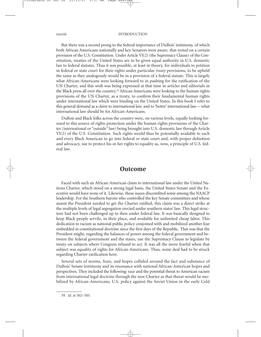#### xxxviii INTRODUCTION

But there was a second prong to the federal importance of DuBois' testimony, of which both African Americans nationally and key Senators were aware, that rested on a certain provision of the U.S. Constitution. Under Article VI(2) (the Supremacy Clause) of the Constitution, treaties of the United States are to be given equal authority in U.S. domestic law to federal statutes. Thus it was possible, at least in theory, for individuals to petition in federal or state court for their rights under particular *treaty* provisions, to be upheld the same as they analogously would be in a provision of a federal statute. This is largely what African-Americans were looking forward to in pushing for the ratification of the UN Charter, and this wish was being expressed at that time in articles and editorials in the Black press all over the country.39 African Americans were looking to the human rights provisions of the UN Charter, as a treaty, to confirm their fundamental human rights under international law which were binding on the United States. In this book I refer to this general demand as a *claim* to international law, and to 'better' international law—what international law should be for African-Americans.

DuBois and Black folks across the country were, on various levels, equally looking forward to this source of rights protection under the human rights provisions of the Charter (international or "outside" law) being brought into U.S. domestic law through Article VI(2) of the U.S. Constitution. Such rights would thus be potentially available to each and every Black American to go into federal or state court and, with proper definition and advocacy, sue to protect his or her rights to equality as, now, a principle of U.S. federal law.

## **Outcome**

Faced with such an African-American claim to international law under the United Nations Charter, which stood on a strong legal basis, the United States Senate and the Executive would have none of it. Likewise, these issues discomfited some among the NAACP leadership. For the Southern barons who controlled the key Senate committees and whose assent the President needed to get the Charter ratified, this claim was a direct strike at the multiple levels of legal segregation erected under southern states' law. This legal structure had not been challenged up to then under federal law. It was basically designed to keep Black people servile, in their place, and available for unlimited cheap labor. This dedication to racism as national public policy conjoined with and mobilized another fear embedded in constitutional doctrine since the first days of the Republic. That was that the President might, regarding the balances of power among the federal government and between the federal government and the states, use the Supremacy Clause to legislate by treaty on subjects where Congress refused to act. It was all the more fearful when that subject was equality of rights for African-Americans. Thus, some deal had to be struck regarding Charter ratification here.

Several sets of norms, fears, and hopes collided around the fact and substance of DuBois' Senate testimony and its resonance with national African-American hopes and perspectives. They included the following: race and the potential threat to American racism from international legal doctrine through the new Charter as that threat would be mobilized by African-Americans; U.S. policy against the Soviet Union in the early Cold

<sup>39.</sup> *Id.* at 502–505.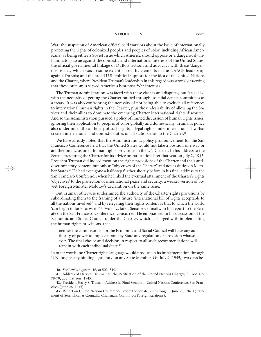### INTRODUCTION xxxix

War; the suspicion of American official cold warriors about the issue of internationally protecting the rights of colonized peoples and peoples of color, including African Americans, as being either a Soviet issue which America should oppose or a dangerously inflammatory issue against the domestic and international interests of the United States; the official governmental linkage of DuBois' actions and advocacy with these 'dangerous' issues, which was to some extent shared by elements in the NAACP leadership against DuBois; and the broad U.S. political support for the idea of the United Nations and the Charter, where President Truman's leadership in this regard was strongly asserting that these outcomes served America's best post-War interests.

The Truman administration was faced with these clashes and disputes, but faced also with the necessity of getting the Charter ratified through essential Senate committees as a treaty. It was also confronting the necessity of not being able to exclude all references to international human rights in the Charter, plus the undesirability of allowing the Soviets and their allies to dominate the emerging Charter international rights discourse. And so the Administration pursued a policy of limited discussion of human rights issues, ignoring their application to peoples of color globally and domestically. Truman's policy also undermined the authority of such rights as legal rights under international law that created international and domestic duties on all state-parties to the Charter.40

We have already noted that the Administration's policy pronouncement for the San Francisco Conference held that the United States would not take a position one way or another on inclusion of human rights provisions in the UN Charter. In his address to the Senate presenting the Charter for its advice on ratification later that year on July 2, 1945, President Truman did indeed mention the rights provisions of the Charter and their antidiscriminatory content, but only as "objectives of the Charter" and not as duties on Member States.<sup>41</sup> He had even gone a half-step further shortly before in his final address to the San Francisco Conference, when he linked the eventual attainment of the Charter's rights 'objectives' to the protection of international peace and security, a weaker version of Soviet Foreign Minister Molotov's declaration on the same issue.

But Truman otherwise undermined the authority of the Charter rights provisions by subordinating them to the framing of a future "international bill of rights acceptable to all the nations involved," and by relegating their rights content as that to which the world 'can begin to look forward.'42 Two days later, Senator Connally, in his report to the Senate on the San Francisco Conference, concurred. He emphasized in his discussion of the Economic and Social Council under the Charter, which is charged with implementing the human rights provisions, that

neither the commissions nor the Economic and Social Council will have any authority or power to impose upon any State any regulation or provision whatsoever. The final choice and decision in respect to all such recommendations will remain with each individual State.43

In other words, no Charter rights language would produce in its implementation through U.N. organs any binding legal duty on any State Member. On July 9, 1945, two days be-

<sup>40.</sup> *See* Lewis, *supra* n. 16, at 502–510.

<sup>41.</sup> Address of Harry S. Truman on the Ratification of the United Nations Charger, S. Doc. No. 79-70, at 2 (1st Sess. 1945).

<sup>42.</sup> President Harry S. Truman, Address in Final Session of United Nations Conference, San Francisco (June 26, 1945).

<sup>43.</sup> Report on United Nations Conference Before the Senate, 79th Cong. 5 (June 28, 1945) (statement of Sen. Thomas Connally, Chairman, Comm. on Foreign Relations).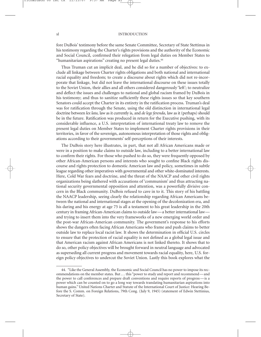## xl INTRODUCTION

fore DuBois' testimony before the same Senate Committee, Secretary of State Stettinus in his testimony regarding the Charter's rights provisions and the authority of the Economic and Social Council, confirmed their relegation from legal duties on Member States to "humanitarian aspirations" creating no present legal duties.44

Thus Truman cut an implicit deal, and he did so for a number of objectives: to exclude all linkage between Charter rights obligations and both national and international racial equality and freedom; to create a discourse about rights which did not re-incorporate that linkage, but did not leave the international discourse on these issues totally to the Soviet Union, their allies and all others considered dangerously 'left'; to neutralize and deflect the issues and challenges to national and global racism framed by DuBois in his testimony; and thus to sanitize sufficiently these rights issues so that key southern Senators could accept the Charter in its entirety in the ratification process. Truman's deal was for ratification through the Senate, using the old distinction in international legal doctrine between *lex lata*, law as it currently is, and *de lege ferenda*, law as it (perhaps) should be in the future. Ratification was produced in return for the Executive pushing, with its considerable influence, a U.S. interpretation of international treaty law to remove the present legal duties on Member States to implement Charter rights provisions in their territories, in favor of the sovereign, autonomous interpretation of those rights and obligations according to their governments' self-perceptions of their interests.

The DuBois story here illustrates, in part, that not all African Americans made or were in a position to make claims to outside law, including to a better international law to confirm their rights. For those who pushed to do so, they were frequently opposed by other African-American persons and interests who sought to confine Black rights discourse and rights protection to domestic American law and policy, sometimes in subtle league regarding other imperatives with governmental and other white-dominated interests. Here, Cold War fears and doctrine, and the threat of the NAACP and other civil rights organizations being slathered with accusations of 'communism' and thus attracting national security governmental opposition and attention, was a powerfully divisive concern in the Black community. DuBois refused to cave in to it. This story of his battling the NAACP leadership, seeing clearly the relationship regarding African Americans between the national and international stages at the opening of the decolonization era, and his daring and his energy at age 75 is all a testament to his great leadership in the 20th century in framing African-American claims to outside law—a better international law and trying to insert them into the very frameworks of a new emerging world order and the post-war African-American community. The government's response to his efforts shows the dangers often facing African Americans who frame and push claims to better outside law to replace local racist law. It shows the determination in official U.S. circles to ensure that the protection of racial equality is not defined as a global legal issue and that American racism against African Americans is not linked thereto. It shows that to do so, other policy objectives will be brought forward in neutral language and advocated as superseding all current progress and movement towards racial equality, here, U.S. foreign policy objectives to undercut the Soviet Union. Lastly this book explores what the

<sup>44. &</sup>quot;Like the General Assembly, the Economic and Social Council has no power to impose its recommendations on the member states. But . . . this "power to study and report and recommend — and the power to call conferences and prepare draft conventions and require reports of progress — is a power which can be counted on to go a long way towards translating humanitarian aspirations into human gains." United Nations Charter and Statute of the International Court of Justice: Hearing Before the S. Comm. on Foreign Relations, 79th Cong. (July 9, 1945) (statement of Edwin Stettinius, Secretary of State).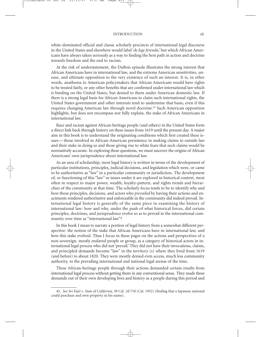white-dominated official and classic scholarly precincts of international legal discourse in the United States and elsewhere would label '*de lege ferenda*,' but which African Americans have always taken seriously as a way to finding the best path in action and doctrine towards freedom and the end to racism.

At the risk of understatement, the DuBois episode illustrates the strong interest that African Americans have in international law, and the extreme American sensitivities, unease, and ultimate opposition to the very existence of such an interest. It is, in other words, anathema to American policymakers that African Americans would have rights to be treated fairly, or any other benefits that are confirmed under international law which is binding on the United States, but denied to them under American domestic law. If there is a strong legal basis for African Americans to claim such international rights, the United States government and other interests tend to undermine that basis, even if this requires changing American law through novel doctrine.45 Such American opposition highlights, but does not encompass nor fully explain, the stake of African Americans in international law.

Race and racism against African-heritage people (and others) in the United States form a direct link back through history on these issues from 1619 until the present day. A major aim in this book is to understand the originating conditions which first created these issues — those involved in African-American persistence in making claims to outside law and their stake in doing so and those giving rise to white fears that such claims would be normatively accurate. In exploring these questions, we must uncover the origins of African Americans' own jurisprudence about international law.

As an area of scholarship, most legal history is written in terms of the development of particular institutions, principles, judicial decisions, and legislation which were, or came to be authoritative as "law" in a particular community or jurisdiction. The development of, or functioning of this "law" or issues under it are explored in historical context, most often in respect to major power, wealth, loyalty-pattern, and rights trends and hierarchies of the community at that time. The scholarly focus tends to be to identify why and how those principles, decisions, and actors who *prevailed* by having their actions and enactments rendered authoritative and enforceable in the community did indeed prevail. International legal history is generally of the same piece in examining the history of international law: how and why, under the push of what historical forces, did certain principles, doctrines, and jurisprudence evolve so as to prevail in the international community over time as "international law"?

In this book I mean to narrate a portion of legal history from a somewhat different perspective: the notion of the stake that African Americans have in international law, and how this stake evolved. Thus I focus in these pages on the actions and perspectives of a non-sovereign, mostly enslaved people or group, as a category of historical actors in international legal process who did not 'prevail.' They did not have their invocations, claims, and principled demands become "law" in the territory (s) where they lived from 1619 (and before) to about 1820. They were mostly denied even access, much less community authority, to the prevailing international and national legal arenas of the time.

These African-heritage people through their actions demanded certain results from international legal process without getting them in any conventional sense. They made these demands out of their own developing lives and history as a people during this period and

<sup>45.</sup> *See Sei Fujii v. State of California,* 38 Cal. 2d 718 (Cal. 1952) (finding that a Japanese national could purchase and own property in his name).